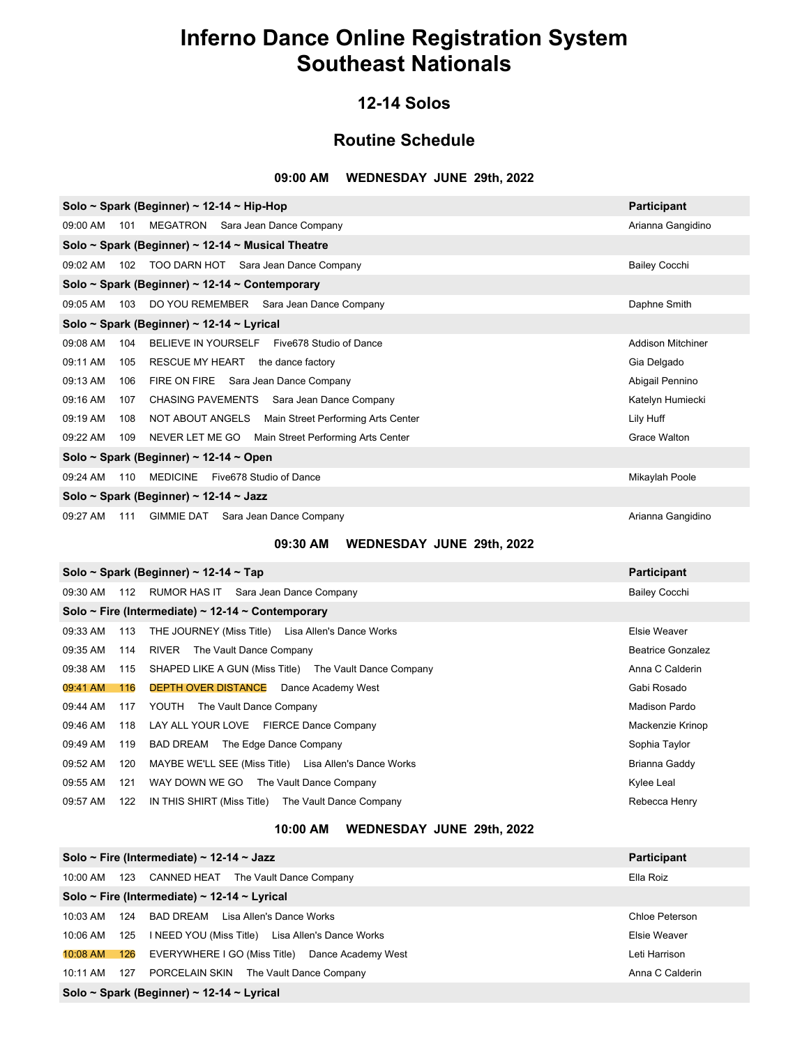### **12-14 Solos**

### **Routine Schedule**

#### **09:00 AM WEDNESDAY JUNE 29th, 2022**

| Solo ~ Spark (Beginner) ~ 12-14 ~ Hip-Hop                              | Participant          |  |  |  |
|------------------------------------------------------------------------|----------------------|--|--|--|
| MEGATRON Sara Jean Dance Company<br>09:00 AM<br>101                    | Arianna Gangidino    |  |  |  |
| Solo ~ Spark (Beginner) ~ 12-14 ~ Musical Theatre                      |                      |  |  |  |
| TOO DARN HOT Sara Jean Dance Company<br>09:02 AM<br>102                | <b>Bailey Cocchi</b> |  |  |  |
| Solo ~ Spark (Beginner) ~ 12-14 ~ Contemporary                         |                      |  |  |  |
| DO YOU REMEMBER Sara Jean Dance Company<br>09:05 AM<br>103             | Daphne Smith         |  |  |  |
| Solo ~ Spark (Beginner) ~ 12-14 ~ Lyrical                              |                      |  |  |  |
| BELIEVE IN YOURSELF Five 678 Studio of Dance<br>09:08 AM<br>104        | Addison Mitchiner    |  |  |  |
| 09:11 AM<br>105<br>RESCUE MY HEART<br>the dance factory                | Gia Delgado          |  |  |  |
| 09:13 AM<br>FIRE ON FIRE<br>Sara Jean Dance Company<br>106             | Abigail Pennino      |  |  |  |
| 09:16 AM<br>CHASING PAVEMENTS Sara Jean Dance Company<br>107           | Katelyn Humiecki     |  |  |  |
| 09:19 AM<br>NOT ABOUT ANGELS Main Street Performing Arts Center<br>108 | Lily Huff            |  |  |  |
| 09:22 AM<br>NEVER LET ME GO Main Street Performing Arts Center<br>109  | Grace Walton         |  |  |  |
| Solo ~ Spark (Beginner) ~ 12-14 ~ Open                                 |                      |  |  |  |
| <b>MEDICINE</b><br>Five678 Studio of Dance<br>09:24 AM<br>110          | Mikaylah Poole       |  |  |  |
| Solo ~ Spark (Beginner) ~ 12-14 ~ Jazz                                 |                      |  |  |  |
| <b>GIMMIE DAT</b><br>Sara Jean Dance Company<br>09:27 AM<br>111        | Arianna Gangidino    |  |  |  |

### **09:30 AM WEDNESDAY JUNE 29th, 2022**

|          |     | Solo ~ Spark (Beginner) ~ 12-14 ~ Tap                  | <b>Participant</b>       |
|----------|-----|--------------------------------------------------------|--------------------------|
| 09:30 AM | 112 | RUMOR HAS IT<br>Sara Jean Dance Company                | <b>Bailey Cocchi</b>     |
|          |     | Solo ~ Fire (Intermediate) ~ 12-14 ~ Contemporary      |                          |
| 09:33 AM | 113 | THE JOURNEY (Miss Title) Lisa Allen's Dance Works      | Elsie Weaver             |
| 09:35 AM | 114 | The Vault Dance Company<br>RIVER                       | <b>Beatrice Gonzalez</b> |
| 09:38 AM | 115 | SHAPED LIKE A GUN (Miss Title) The Vault Dance Company | Anna C Calderin          |
| 09:41 AM | 116 | <b>DEPTH OVER DISTANCE</b> Dance Academy West          | Gabi Rosado              |
| 09:44 AM | 117 | The Vault Dance Company<br>YOUTH                       | Madison Pardo            |
| 09:46 AM | 118 | LAY ALL YOUR LOVE FIERCE Dance Company                 | Mackenzie Krinop         |
| 09:49 AM | 119 | BAD DREAM<br>The Edge Dance Company                    | Sophia Taylor            |
| 09:52 AM | 120 | MAYBE WE'LL SEE (Miss Title) Lisa Allen's Dance Works  | Brianna Gaddy            |
| 09:55 AM | 121 | WAY DOWN WE GO<br>The Vault Dance Company              | Kylee Leal               |
| 09:57 AM | 122 | IN THIS SHIRT (Miss Title) The Vault Dance Company     | Rebecca Henry            |
|          |     |                                                        |                          |

### **10:00 AM WEDNESDAY JUNE 29th, 2022**

| Solo ~ Fire (Intermediate) ~ 12-14 ~ Jazz                          | <b>Participant</b> |  |  |  |
|--------------------------------------------------------------------|--------------------|--|--|--|
| 123<br>CANNED HEAT The Vault Dance Company<br>10:00 AM             | Ella Roiz          |  |  |  |
| Solo ~ Fire (Intermediate) ~ 12-14 ~ Lyrical                       |                    |  |  |  |
| BAD DREAM Lisa Allen's Dance Works<br>124<br>10:03 AM              | Chloe Peterson     |  |  |  |
| INEED YOU (Miss Title) Lisa Allen's Dance Works<br>125<br>10:06 AM | Elsie Weaver       |  |  |  |
| EVERYWHERE I GO (Miss Title) Dance Academy West<br>126<br>10:08 AM | Leti Harrison      |  |  |  |
| 127<br>PORCELAIN SKIN<br>The Vault Dance Company<br>10:11 AM       | Anna C Calderin    |  |  |  |
| Solo ~ Spark (Beginner) ~ 12-14 ~ Lyrical                          |                    |  |  |  |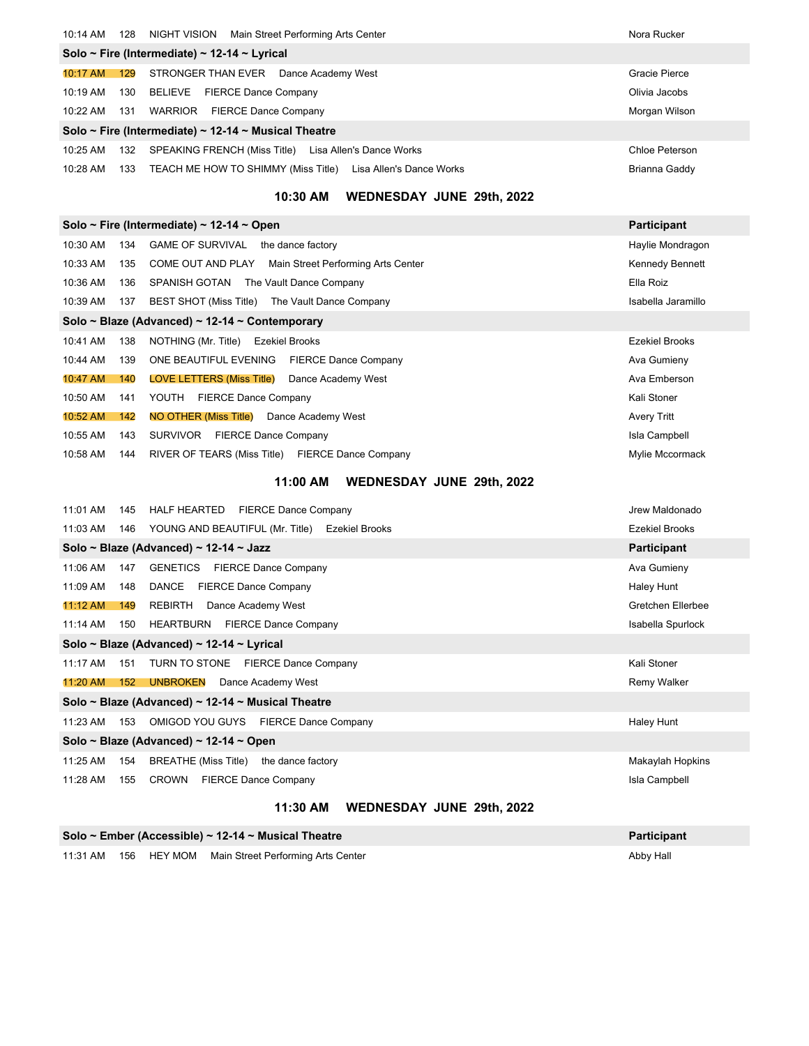| 10:14 AM             | 128 | NIGHT VISION<br>Main Street Performing Arts Center           | Nora Rucker    |
|----------------------|-----|--------------------------------------------------------------|----------------|
|                      |     | Solo ~ Fire (Intermediate) ~ 12-14 ~ Lyrical                 |                |
| 10:17 AM             | 129 | STRONGER THAN EVER<br>Dance Academy West                     | Gracie Pierce  |
| 10:19 AM             | 130 | <b>FIERCE Dance Company</b><br>BELIEVE                       | Olivia Jacobs  |
| $10:22 \, \text{AM}$ | 131 | <b>FIERCE Dance Company</b><br>WARRIOR                       | Morgan Wilson  |
|                      |     | Solo ~ Fire (Intermediate) ~ 12-14 ~ Musical Theatre         |                |
| 10:25 AM             | 132 | Lisa Allen's Dance Works<br>SPEAKING FRENCH (Miss Title)     | Chloe Peterson |
| $10:28$ AM           | 133 | TEACH ME HOW TO SHIMMY (Miss Title) Lisa Allen's Dance Works | Brianna Gaddy  |
|                      |     |                                                              |                |

### **10:30 AM WEDNESDAY JUNE 29th, 2022**

| Solo ~ Fire (Intermediate) ~ 12-14 ~ Open<br><b>Participant</b> |                                                |                                                         |                       |  |  |
|-----------------------------------------------------------------|------------------------------------------------|---------------------------------------------------------|-----------------------|--|--|
| 10:30 AM                                                        | 134                                            | <b>GAME OF SURVIVAL</b><br>the dance factory            | Haylie Mondragon      |  |  |
| 10:33 AM                                                        | 135                                            | COME OUT AND PLAY<br>Main Street Performing Arts Center | Kennedy Bennett       |  |  |
| 10:36 AM                                                        | 136                                            | SPANISH GOTAN<br>The Vault Dance Company                | Ella Roiz             |  |  |
| 10:39 AM                                                        | 137                                            | BEST SHOT (Miss Title)<br>The Vault Dance Company       | Isabella Jaramillo    |  |  |
|                                                                 | Solo ~ Blaze (Advanced) ~ 12-14 ~ Contemporary |                                                         |                       |  |  |
| 10:41 AM                                                        | 138                                            | NOTHING (Mr. Title)<br><b>Ezekiel Brooks</b>            | <b>Ezekiel Brooks</b> |  |  |
| 10:44 AM                                                        | 139                                            | ONE BEAUTIFUL EVENING<br><b>FIERCE Dance Company</b>    | Ava Gumieny           |  |  |
| 10:47 AM                                                        | 140                                            | <b>LOVE LETTERS (Miss Title)</b><br>Dance Academy West  | Ava Emberson          |  |  |
| 10:50 AM                                                        | 141                                            | <b>FIERCE Dance Company</b><br>YOUTH                    | Kali Stoner           |  |  |
| 10:52 AM                                                        | 142                                            | NO OTHER (Miss Title)<br>Dance Academy West             | Avery Tritt           |  |  |
| 10:55 AM                                                        | 143                                            | <b>SURVIVOR</b><br><b>FIERCE Dance Company</b>          | Isla Campbell         |  |  |
| 10:58 AM                                                        | 144                                            | RIVER OF TEARS (Miss Title) FIERCE Dance Company        | Mylie Mccormack       |  |  |

### **11:00 AM WEDNESDAY JUNE 29th, 2022**

| 11:01 AM                                          | 145                                       | <b>FIERCE Dance Company</b><br>HALF HEARTED    | Jrew Maldonado        |  |  |  |
|---------------------------------------------------|-------------------------------------------|------------------------------------------------|-----------------------|--|--|--|
| 11:03 AM                                          | 146                                       | YOUNG AND BEAUTIFUL (Mr. Title) Ezekiel Brooks | <b>Ezekiel Brooks</b> |  |  |  |
|                                                   |                                           | Solo ~ Blaze (Advanced) ~ 12-14 ~ Jazz         | <b>Participant</b>    |  |  |  |
| 11:06 AM                                          | 147                                       | <b>FIERCE Dance Company</b><br><b>GENETICS</b> | Ava Gumieny           |  |  |  |
| 11:09 AM                                          | 148                                       | DANCE<br><b>FIERCE Dance Company</b>           | Haley Hunt            |  |  |  |
| 11:12 AM                                          | 149                                       | <b>REBIRTH</b><br>Dance Academy West           | Gretchen Ellerbee     |  |  |  |
| 11:14 AM                                          | 150                                       | HEARTBURN<br><b>FIERCE Dance Company</b>       | Isabella Spurlock     |  |  |  |
|                                                   | Solo ~ Blaze (Advanced) ~ 12-14 ~ Lyrical |                                                |                       |  |  |  |
| 11:17 AM                                          | 151                                       | TURN TO STONE<br><b>FIERCE Dance Company</b>   | Kali Stoner           |  |  |  |
| 11:20 AM                                          | 152                                       | <b>UNBROKEN</b><br>Dance Academy West          | Remy Walker           |  |  |  |
| Solo ~ Blaze (Advanced) ~ 12-14 ~ Musical Theatre |                                           |                                                |                       |  |  |  |
| 11:23 AM                                          | 153                                       | OMIGOD YOU GUYS FIERCE Dance Company           | Haley Hunt            |  |  |  |
| Solo ~ Blaze (Advanced) ~ 12-14 ~ Open            |                                           |                                                |                       |  |  |  |
| 11:25 AM                                          | 154                                       | BREATHE (Miss Title)<br>the dance factory      | Makaylah Hopkins      |  |  |  |
| 11:28 AM                                          | 155                                       | CROWN<br><b>FIERCE Dance Company</b>           | Isla Campbell         |  |  |  |
|                                                   |                                           |                                                |                       |  |  |  |

### **11:30 AM WEDNESDAY JUNE 29th, 2022**

|  | Solo ~ Ember (Accessible) ~ 12-14 ~ Musical Theatre     | Participant |
|--|---------------------------------------------------------|-------------|
|  | 11:31 AM 156 HEY MOM Main Street Performing Arts Center | Abby Hall   |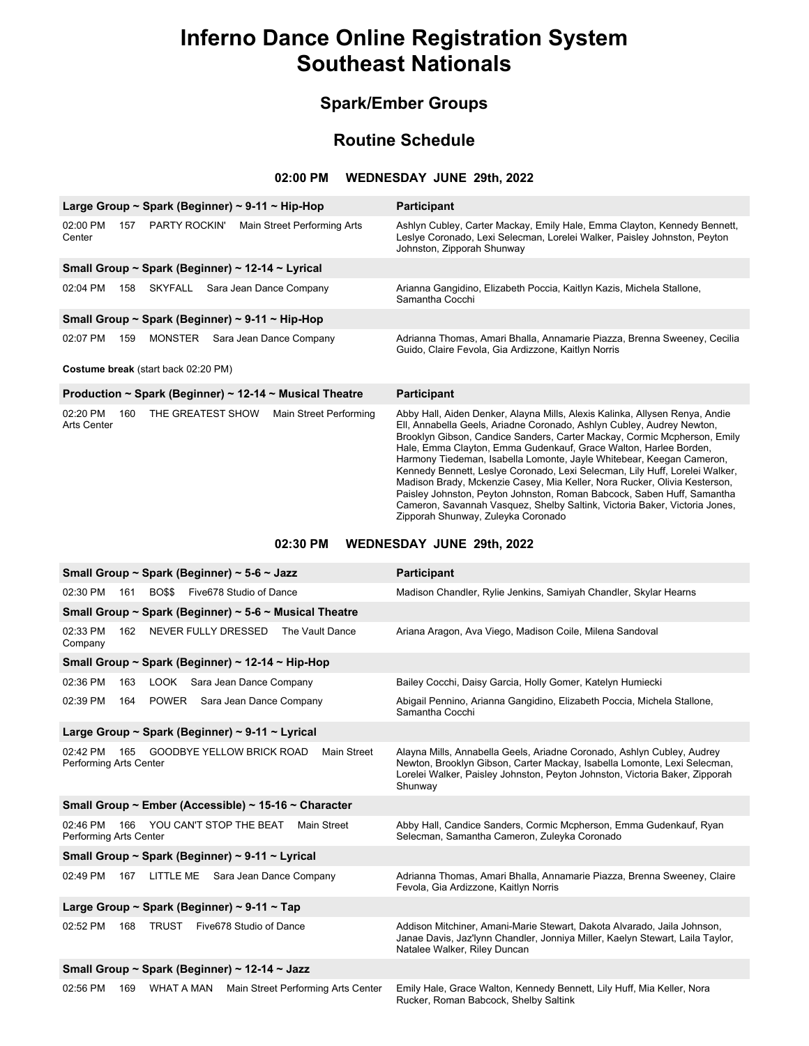### **Spark/Ember Groups**

### **Routine Schedule**

#### **02:00 PM WEDNESDAY JUNE 29th, 2022**

| Large Group ~ Spark (Beginner) ~ 9-11 ~ Hip-Hop  |     |                   |                                                         | <b>Participant</b>                                                                                                                                                                                                                                                                                                                                                                                                                                                                                                                                                                                                                                                                                                                     |
|--------------------------------------------------|-----|-------------------|---------------------------------------------------------|----------------------------------------------------------------------------------------------------------------------------------------------------------------------------------------------------------------------------------------------------------------------------------------------------------------------------------------------------------------------------------------------------------------------------------------------------------------------------------------------------------------------------------------------------------------------------------------------------------------------------------------------------------------------------------------------------------------------------------------|
| 02:00 PM<br>Center                               | 157 | PARTY ROCKIN'     | Main Street Performing Arts                             | Ashlyn Cubley, Carter Mackay, Emily Hale, Emma Clayton, Kennedy Bennett,<br>Leslye Coronado, Lexi Selecman, Lorelei Walker, Paisley Johnston, Peyton<br>Johnston, Zipporah Shunway                                                                                                                                                                                                                                                                                                                                                                                                                                                                                                                                                     |
| Small Group ~ Spark (Beginner) ~ 12-14 ~ Lyrical |     |                   |                                                         |                                                                                                                                                                                                                                                                                                                                                                                                                                                                                                                                                                                                                                                                                                                                        |
| $02:04$ PM                                       | 158 | SKYFALL           | Sara Jean Dance Company                                 | Arianna Gangidino, Elizabeth Poccia, Kaitlyn Kazis, Michela Stallone,<br>Samantha Cocchi                                                                                                                                                                                                                                                                                                                                                                                                                                                                                                                                                                                                                                               |
| Small Group ~ Spark (Beginner) ~ 9-11 ~ Hip-Hop  |     |                   |                                                         |                                                                                                                                                                                                                                                                                                                                                                                                                                                                                                                                                                                                                                                                                                                                        |
| 02:07 PM                                         | 159 | <b>MONSTER</b>    | Sara Jean Dance Company                                 | Adrianna Thomas, Amari Bhalla, Annamarie Piazza, Brenna Sweeney, Cecilia<br>Guido, Claire Fevola, Gia Ardizzone, Kaitlyn Norris                                                                                                                                                                                                                                                                                                                                                                                                                                                                                                                                                                                                        |
| Costume break (start back 02:20 PM)              |     |                   |                                                         |                                                                                                                                                                                                                                                                                                                                                                                                                                                                                                                                                                                                                                                                                                                                        |
|                                                  |     |                   | Production ~ Spark (Beginner) ~ 12-14 ~ Musical Theatre | <b>Participant</b>                                                                                                                                                                                                                                                                                                                                                                                                                                                                                                                                                                                                                                                                                                                     |
| 02:20 PM<br>Arts Center                          | 160 | THE GREATEST SHOW | Main Street Performing                                  | Abby Hall, Aiden Denker, Alayna Mills, Alexis Kalinka, Allysen Renya, Andie<br>Ell, Annabella Geels, Ariadne Coronado, Ashlyn Cubley, Audrey Newton,<br>Brooklyn Gibson, Candice Sanders, Carter Mackay, Cormic Mcpherson, Emily<br>Hale, Emma Clayton, Emma Gudenkauf, Grace Walton, Harlee Borden,<br>Harmony Tiedeman, Isabella Lomonte, Jayle Whitebear, Keegan Cameron,<br>Kennedy Bennett, Leslye Coronado, Lexi Selecman, Lily Huff, Lorelei Walker,<br>Madison Brady, Mckenzie Casey, Mia Keller, Nora Rucker, Olivia Kesterson,<br>Paisley Johnston, Peyton Johnston, Roman Babcock, Saben Huff, Samantha<br>Cameron, Savannah Vasquez, Shelby Saltink, Victoria Baker, Victoria Jones,<br>Zipporah Shunway, Zuleyka Coronado |

### **02:30 PM WEDNESDAY JUNE 29th, 2022**

| Small Group ~ Spark (Beginner) ~ 5-6 ~ Jazz                                                         | Participant                                                                                                                                                                                                                                  |  |  |  |
|-----------------------------------------------------------------------------------------------------|----------------------------------------------------------------------------------------------------------------------------------------------------------------------------------------------------------------------------------------------|--|--|--|
| 02:30 PM<br>161<br><b>BO\$\$</b><br>Five678 Studio of Dance                                         | Madison Chandler, Rylie Jenkins, Samiyah Chandler, Skylar Hearns                                                                                                                                                                             |  |  |  |
| Small Group ~ Spark (Beginner) ~ 5-6 ~ Musical Theatre                                              |                                                                                                                                                                                                                                              |  |  |  |
| 02:33 PM<br>162<br>NEVER FULLY DRESSED<br>The Vault Dance<br>Company                                | Ariana Aragon, Ava Viego, Madison Coile, Milena Sandoval                                                                                                                                                                                     |  |  |  |
| Small Group ~ Spark (Beginner) ~ 12-14 ~ Hip-Hop                                                    |                                                                                                                                                                                                                                              |  |  |  |
| 02:36 PM<br>LOOK Sara Jean Dance Company<br>163                                                     | Bailey Cocchi, Daisy Garcia, Holly Gomer, Katelyn Humiecki                                                                                                                                                                                   |  |  |  |
| 02:39 PM<br>164 POWER Sara Jean Dance Company                                                       | Abigail Pennino, Arianna Gangidino, Elizabeth Poccia, Michela Stallone,<br>Samantha Cocchi                                                                                                                                                   |  |  |  |
| Large Group ~ Spark (Beginner) ~ 9-11 ~ Lyrical                                                     |                                                                                                                                                                                                                                              |  |  |  |
| <b>GOODBYE YELLOW BRICK ROAD</b><br><b>Main Street</b><br>02:42 PM<br>165<br>Performing Arts Center | Alayna Mills, Annabella Geels, Ariadne Coronado, Ashlyn Cubley, Audrey<br>Newton, Brooklyn Gibson, Carter Mackay, Isabella Lomonte, Lexi Selecman,<br>Lorelei Walker, Paisley Johnston, Peyton Johnston, Victoria Baker, Zipporah<br>Shunway |  |  |  |
| Small Group ~ Ember (Accessible) ~ 15-16 ~ Character                                                |                                                                                                                                                                                                                                              |  |  |  |
| 02:46 PM<br>YOU CAN'T STOP THE BEAT<br>Main Street<br>166<br>Performing Arts Center                 | Abby Hall, Candice Sanders, Cormic Mcpherson, Emma Gudenkauf, Ryan<br>Selecman, Samantha Cameron, Zuleyka Coronado                                                                                                                           |  |  |  |
| Small Group ~ Spark (Beginner) ~ 9-11 ~ Lyrical                                                     |                                                                                                                                                                                                                                              |  |  |  |
| 02:49 PM<br>LITTLE ME<br>Sara Jean Dance Company<br>167                                             | Adrianna Thomas, Amari Bhalla, Annamarie Piazza, Brenna Sweeney, Claire<br>Fevola, Gia Ardizzone, Kaitlyn Norris                                                                                                                             |  |  |  |
| Large Group ~ Spark (Beginner) ~ 9-11 ~ Tap                                                         |                                                                                                                                                                                                                                              |  |  |  |
| 02:52 PM<br>168<br><b>TRUST</b><br>Five678 Studio of Dance                                          | Addison Mitchiner, Amani-Marie Stewart, Dakota Alvarado, Jaila Johnson,<br>Janae Davis, Jaz'lynn Chandler, Jonniya Miller, Kaelyn Stewart, Laila Taylor,<br>Natalee Walker, Riley Duncan                                                     |  |  |  |
| Small Group ~ Spark (Beginner) ~ 12-14 ~ Jazz                                                       |                                                                                                                                                                                                                                              |  |  |  |
| 02:56 PM<br>WHAT A MAN<br>169<br>Main Street Performing Arts Center                                 | Emily Hale, Grace Walton, Kennedy Bennett, Lily Huff, Mia Keller, Nora<br>Rucker, Roman Babcock, Shelby Saltink                                                                                                                              |  |  |  |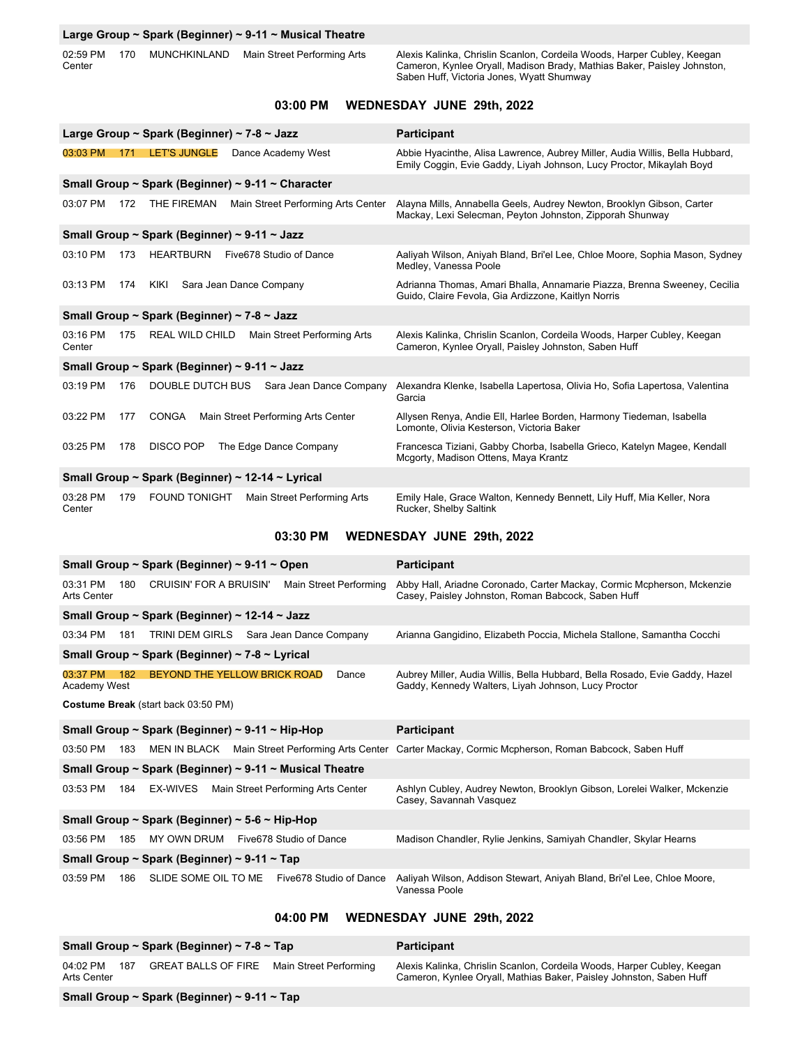#### **Large Group ~ Spark (Beginner) ~ 9-11 ~ Musical Theatre**

02:59 PM 170 MUNCHKINLAND Main Street Performing Arts Center

Alexis Kalinka, Chrislin Scanlon, Cordeila Woods, Harper Cubley, Keegan Cameron, Kynlee Oryall, Madison Brady, Mathias Baker, Paisley Johnston, Saben Huff, Victoria Jones, Wyatt Shumway

#### **03:00 PM WEDNESDAY JUNE 29th, 2022**

|                                                | Large Group ~ Spark (Beginner) ~ 7-8 ~ Jazz                  | <b>Participant</b>                                                                                                                                   |  |  |
|------------------------------------------------|--------------------------------------------------------------|------------------------------------------------------------------------------------------------------------------------------------------------------|--|--|
| 03:03 PM<br>171                                | <b>LET'S JUNGLE</b><br>Dance Academy West                    | Abbie Hyacinthe, Alisa Lawrence, Aubrey Miller, Audia Willis, Bella Hubbard,<br>Emily Coggin, Evie Gaddy, Liyah Johnson, Lucy Proctor, Mikaylah Boyd |  |  |
|                                                | Small Group ~ Spark (Beginner) ~ 9-11 ~ Character            |                                                                                                                                                      |  |  |
| 03:07 PM                                       | Main Street Performing Arts Center<br>172<br>THE FIREMAN     | Alayna Mills, Annabella Geels, Audrey Newton, Brooklyn Gibson, Carter<br>Mackay, Lexi Selecman, Peyton Johnston, Zipporah Shunway                    |  |  |
|                                                | Small Group ~ Spark (Beginner) ~ 9-11 ~ Jazz                 |                                                                                                                                                      |  |  |
| 03:10 PM<br>173                                | <b>HEARTBURN</b><br>Five678 Studio of Dance                  | Aaliyah Wilson, Aniyah Bland, Bri'el Lee, Chloe Moore, Sophia Mason, Sydney<br>Medley, Vanessa Poole                                                 |  |  |
| 03:13 PM<br>174                                | KIKI<br>Sara Jean Dance Company                              | Adrianna Thomas, Amari Bhalla, Annamarie Piazza, Brenna Sweeney, Cecilia<br>Guido, Claire Fevola, Gia Ardizzone, Kaitlyn Norris                      |  |  |
|                                                | Small Group ~ Spark (Beginner) ~ 7-8 ~ Jazz                  |                                                                                                                                                      |  |  |
| 03:16 PM<br>Center                             | 175<br><b>REAL WILD CHILD</b><br>Main Street Performing Arts | Alexis Kalinka, Chrislin Scanlon, Cordeila Woods, Harper Cubley, Keegan<br>Cameron, Kynlee Oryall, Paisley Johnston, Saben Huff                      |  |  |
|                                                | Small Group ~ Spark (Beginner) ~ 9-11 ~ Jazz                 |                                                                                                                                                      |  |  |
| 03:19 PM<br>176                                | DOUBLE DUTCH BUS Sara Jean Dance Company                     | Alexandra Klenke, Isabella Lapertosa, Olivia Ho, Sofia Lapertosa, Valentina<br>Garcia                                                                |  |  |
| 03:22 PM<br>177                                | <b>CONGA</b><br>Main Street Performing Arts Center           | Allysen Renya, Andie Ell, Harlee Borden, Harmony Tiedeman, Isabella<br>Lomonte, Olivia Kesterson, Victoria Baker                                     |  |  |
| 03:25 PM<br>178                                | <b>DISCO POP</b><br>The Edge Dance Company                   | Francesca Tiziani, Gabby Chorba, Isabella Grieco, Katelyn Magee, Kendall<br>Mcgorty, Madison Ottens, Maya Krantz                                     |  |  |
|                                                | Small Group ~ Spark (Beginner) ~ 12-14 ~ Lyrical             |                                                                                                                                                      |  |  |
| 03:28 PM<br>179<br>Center                      | <b>FOUND TONIGHT</b><br>Main Street Performing Arts          | Emily Hale, Grace Walton, Kennedy Bennett, Lily Huff, Mia Keller, Nora<br>Rucker, Shelby Saltink                                                     |  |  |
|                                                | 03:30 PM                                                     | WEDNESDAY JUNE 29th, 2022                                                                                                                            |  |  |
|                                                | Small Group ~ Spark (Beginner) ~ 9-11 ~ Open                 | Participant                                                                                                                                          |  |  |
| 03:31 PM<br>180<br>Arts Center                 | Main Street Performing<br>CRUISIN' FOR A BRUISIN'            | Abby Hall, Ariadne Coronado, Carter Mackay, Cormic Mcpherson, Mckenzie<br>Casey, Paisley Johnston, Roman Babcock, Saben Huff                         |  |  |
| Small Group ~ Spark (Beginner) ~ 12-14 ~ Jazz  |                                                              |                                                                                                                                                      |  |  |
| 03:34 PM<br>181                                | TRINI DEM GIRLS Sara Jean Dance Company                      | Arianna Gangidino, Elizabeth Poccia, Michela Stallone, Samantha Cocchi                                                                               |  |  |
| Small Group ~ Spark (Beginner) ~ 7-8 ~ Lyrical |                                                              |                                                                                                                                                      |  |  |
| 03:37 PM<br>182                                | BEYOND THE YELLOW BRICK ROAD<br>Dance                        | Aubrey Miller, Audia Willis, Bella Hubbard, Bella Rosado, Evie Gaddy, Hazel                                                                          |  |  |

Academy West

**Costume Break** (start back 03:50 PM)

| Small Group ~ Spark (Beginner) ~ 9-11 ~ Hip-Hop |                                                |             |  |                                                         | <b>Participant</b>                                                                                         |  |
|-------------------------------------------------|------------------------------------------------|-------------|--|---------------------------------------------------------|------------------------------------------------------------------------------------------------------------|--|
| 03:50 PM                                        | 183                                            |             |  |                                                         | MEN IN BLACK Main Street Performing Arts Center Carter Mackay, Cormic Mcpherson, Roman Babcock, Saben Huff |  |
|                                                 |                                                |             |  | Small Group ~ Spark (Beginner) ~ 9-11 ~ Musical Theatre |                                                                                                            |  |
| 03:53 PM                                        | 184                                            | EX-WIVES    |  | Main Street Performing Arts Center                      | Ashlyn Cubley, Audrey Newton, Brooklyn Gibson, Lorelei Walker, Mckenzie<br>Casey, Savannah Vasquez         |  |
|                                                 | Small Group ~ Spark (Beginner) ~ 5-6 ~ Hip-Hop |             |  |                                                         |                                                                                                            |  |
| 03:56 PM                                        | 185                                            | MY OWN DRUM |  | Five678 Studio of Dance                                 | Madison Chandler, Rylie Jenkins, Samiyah Chandler, Skylar Hearns                                           |  |
| Small Group ~ Spark (Beginner) ~ 9-11 ~ Tap     |                                                |             |  |                                                         |                                                                                                            |  |
| 03:59 PM                                        | 186                                            |             |  | SLIDE SOME OIL TO ME Five678 Studio of Dance            | Aaliyah Wilson, Addison Stewart, Aniyah Bland, Bri'el Lee, Chloe Moore,<br>Vanessa Poole                   |  |

Gaddy, Kennedy Walters, Liyah Johnson, Lucy Proctor

#### **04:00 PM WEDNESDAY JUNE 29th, 2022**

|                                             | Small Group ~ Spark (Beginner) ~ $7-8$ ~ Tap      |  | <b>Participant</b>                                                                                                                             |  |
|---------------------------------------------|---------------------------------------------------|--|------------------------------------------------------------------------------------------------------------------------------------------------|--|
| 187<br>04:02 PM<br>Arts Center              | <b>GREAT BALLS OF FIRE</b> Main Street Performing |  | Alexis Kalinka, Chrislin Scanlon, Cordeila Woods, Harper Cubley, Keegan<br>Cameron, Kynlee Oryall, Mathias Baker, Paisley Johnston, Saben Huff |  |
| Small Group ~ Spark (Beginner) ~ 9-11 ~ Tap |                                                   |  |                                                                                                                                                |  |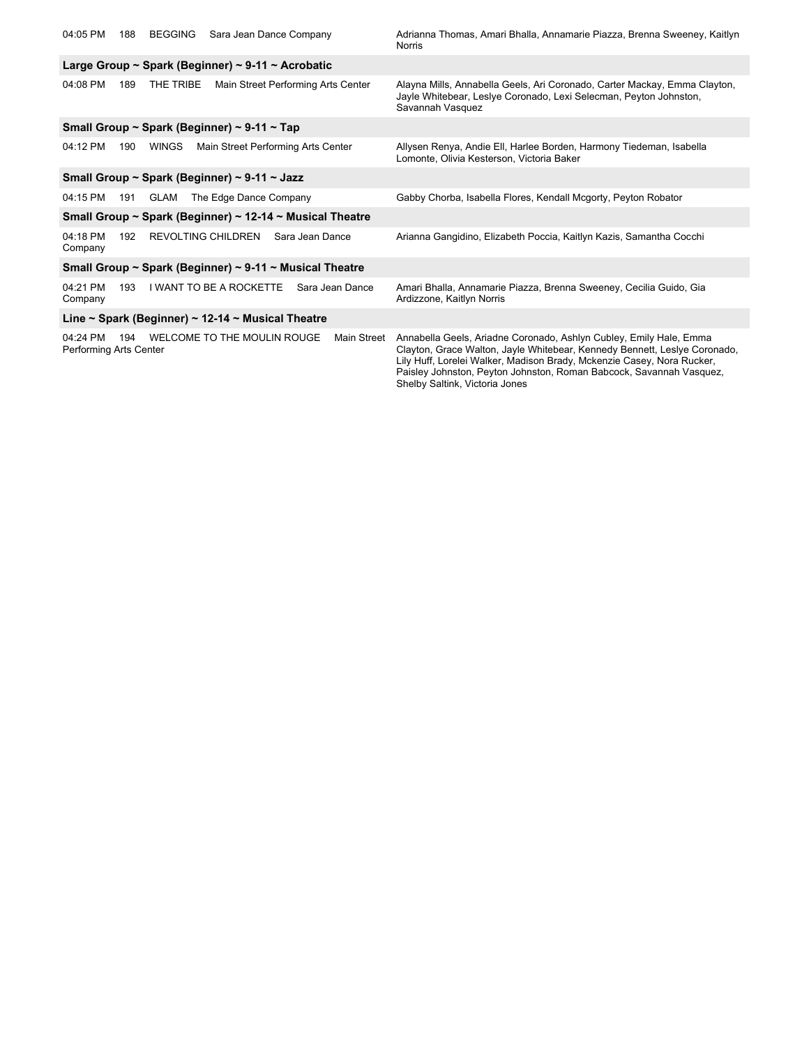| 04:05 PM                                                 | 188 | <b>BEGGING</b> | Sara Jean Dance Company                                 |                 |                 | Adrianna Thomas, Amari Bhalla, Annamarie Piazza, Brenna Sweeney, Kaitlyn<br>Norris                                                                                                                                                                                                                                                 |
|----------------------------------------------------------|-----|----------------|---------------------------------------------------------|-----------------|-----------------|------------------------------------------------------------------------------------------------------------------------------------------------------------------------------------------------------------------------------------------------------------------------------------------------------------------------------------|
|                                                          |     |                | Large Group ~ Spark (Beginner) ~ 9-11 ~ Acrobatic       |                 |                 |                                                                                                                                                                                                                                                                                                                                    |
| 04:08 PM                                                 | 189 | THE TRIBE      | Main Street Performing Arts Center                      |                 |                 | Alayna Mills, Annabella Geels, Ari Coronado, Carter Mackay, Emma Clayton,<br>Jayle Whitebear, Leslye Coronado, Lexi Selecman, Peyton Johnston,<br>Savannah Vasquez                                                                                                                                                                 |
|                                                          |     |                | Small Group ~ Spark (Beginner) ~ 9-11 ~ Tap             |                 |                 |                                                                                                                                                                                                                                                                                                                                    |
| 04:12 PM                                                 | 190 | <b>WINGS</b>   | Main Street Performing Arts Center                      |                 |                 | Allysen Renya, Andie Ell, Harlee Borden, Harmony Tiedeman, Isabella<br>Lomonte, Olivia Kesterson, Victoria Baker                                                                                                                                                                                                                   |
|                                                          |     |                | Small Group ~ Spark (Beginner) ~ 9-11 ~ Jazz            |                 |                 |                                                                                                                                                                                                                                                                                                                                    |
| 04:15 PM                                                 | 191 | GLAM           | The Edge Dance Company                                  |                 |                 | Gabby Chorba, Isabella Flores, Kendall Mcgorty, Peyton Robator                                                                                                                                                                                                                                                                     |
| Small Group ~ Spark (Beginner) ~ 12-14 ~ Musical Theatre |     |                |                                                         |                 |                 |                                                                                                                                                                                                                                                                                                                                    |
| 04:18 PM<br>Company                                      | 192 |                | REVOLTING CHILDREN                                      | Sara Jean Dance |                 | Arianna Gangidino, Elizabeth Poccia, Kaitlyn Kazis, Samantha Cocchi                                                                                                                                                                                                                                                                |
|                                                          |     |                | Small Group ~ Spark (Beginner) ~ 9-11 ~ Musical Theatre |                 |                 |                                                                                                                                                                                                                                                                                                                                    |
| 04:21 PM<br>Company                                      | 193 |                | <b>I WANT TO BE A ROCKETTE</b>                          |                 | Sara Jean Dance | Amari Bhalla, Annamarie Piazza, Brenna Sweeney, Cecilia Guido, Gia<br>Ardizzone, Kaitlyn Norris                                                                                                                                                                                                                                    |
|                                                          |     |                | Line ~ Spark (Beginner) ~ 12-14 ~ Musical Theatre       |                 |                 |                                                                                                                                                                                                                                                                                                                                    |
| 04:24 PM<br>Performing Arts Center                       | 194 |                | WELCOME TO THE MOULIN ROUGE                             |                 | Main Street     | Annabella Geels, Ariadne Coronado, Ashlyn Cubley, Emily Hale, Emma<br>Clayton, Grace Walton, Jayle Whitebear, Kennedy Bennett, Leslye Coronado,<br>Lily Huff, Lorelei Walker, Madison Brady, Mckenzie Casey, Nora Rucker,<br>Paisley Johnston, Peyton Johnston, Roman Babcock, Savannah Vasquez,<br>Shelby Saltink, Victoria Jones |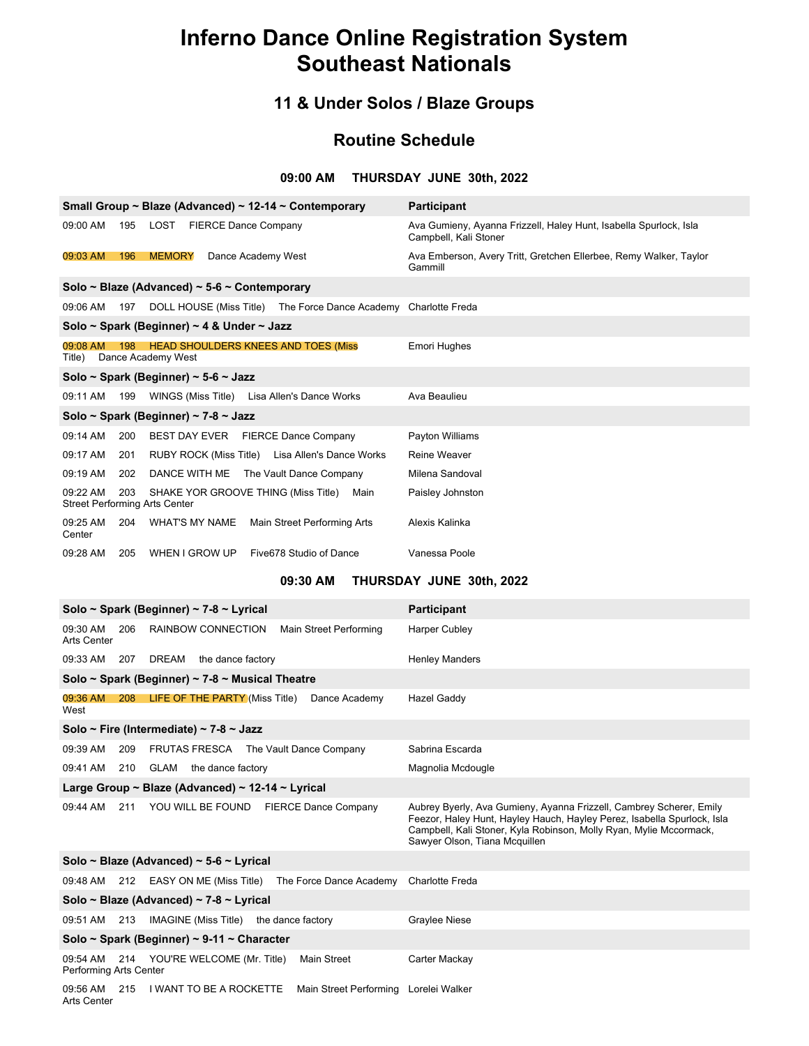### **11 & Under Solos / Blaze Groups**

### **Routine Schedule**

### **09:00 AM THURSDAY JUNE 30th, 2022**

|                                                  |     | Small Group ~ Blaze (Advanced) ~ 12-14 ~ Contemporary            | <b>Participant</b>                                                                         |
|--------------------------------------------------|-----|------------------------------------------------------------------|--------------------------------------------------------------------------------------------|
| 09:00 AM                                         | 195 | LOST FIERCE Dance Company                                        | Ava Gumieny, Ayanna Frizzell, Haley Hunt, Isabella Spurlock, Isla<br>Campbell, Kali Stoner |
| 09:03 AM                                         | 196 | <b>MEMORY</b><br>Dance Academy West                              | Ava Emberson, Avery Tritt, Gretchen Ellerbee, Remy Walker, Taylor<br>Gammill               |
|                                                  |     | Solo ~ Blaze (Advanced) ~ $5-6$ ~ Contemporary                   |                                                                                            |
| 09:06 AM                                         | 197 | DOLL HOUSE (Miss Title) The Force Dance Academy                  | <b>Charlotte Freda</b>                                                                     |
|                                                  |     | Solo ~ Spark (Beginner) ~ 4 & Under ~ Jazz                       |                                                                                            |
| 09:08 AM<br>Title)                               | 198 | <b>HEAD SHOULDERS KNEES AND TOES (Miss</b><br>Dance Academy West | <b>Emori Hughes</b>                                                                        |
|                                                  |     | Solo ~ Spark (Beginner) ~ 5-6 ~ Jazz                             |                                                                                            |
| 09:11 AM                                         | 199 | WINGS (Miss Title) Lisa Allen's Dance Works                      | Ava Beaulieu                                                                               |
|                                                  |     | Solo ~ Spark (Beginner) ~ 7-8 ~ Jazz                             |                                                                                            |
| 09:14 AM                                         | 200 | BEST DAY EVER FIERCE Dance Company                               | Payton Williams                                                                            |
| 09:17 AM                                         | 201 | RUBY ROCK (Miss Title) Lisa Allen's Dance Works                  | Reine Weaver                                                                               |
| 09:19 AM                                         | 202 | DANCE WITH ME<br>The Vault Dance Company                         | Milena Sandoval                                                                            |
| 09:22 AM<br><b>Street Performing Arts Center</b> | 203 | SHAKE YOR GROOVE THING (Miss Title)<br>Main                      | Paisley Johnston                                                                           |
| 09:25 AM<br>Center                               | 204 | <b>WHAT'S MY NAME</b><br>Main Street Performing Arts             | Alexis Kalinka                                                                             |
| 09:28 AM                                         | 205 | WHEN I GROW UP<br>Five678 Studio of Dance                        | Vanessa Poole                                                                              |

### **09:30 AM THURSDAY JUNE 30th, 2022**

| Solo ~ Spark (Beginner) ~ 7-8 ~ Lyrical                                                    | <b>Participant</b>                                                                                                                                                                                                                                    |  |  |  |  |
|--------------------------------------------------------------------------------------------|-------------------------------------------------------------------------------------------------------------------------------------------------------------------------------------------------------------------------------------------------------|--|--|--|--|
| 09:30 AM<br>206<br>RAINBOW CONNECTION<br>Main Street Performing<br>Arts Center             | <b>Harper Cubley</b>                                                                                                                                                                                                                                  |  |  |  |  |
| 09:33 AM<br>207 DREAM the dance factory                                                    | <b>Henley Manders</b>                                                                                                                                                                                                                                 |  |  |  |  |
| Solo ~ Spark (Beginner) ~ 7-8 ~ Musical Theatre                                            |                                                                                                                                                                                                                                                       |  |  |  |  |
| 09:36 AM<br>208 LIFE OF THE PARTY (Miss Title)<br>Dance Academy<br>West                    | Hazel Gaddy                                                                                                                                                                                                                                           |  |  |  |  |
| Solo ~ Fire (Intermediate) ~ 7-8 ~ Jazz                                                    |                                                                                                                                                                                                                                                       |  |  |  |  |
| FRUTAS FRESCA The Vault Dance Company<br>09:39 AM<br>209                                   | Sabrina Escarda                                                                                                                                                                                                                                       |  |  |  |  |
| 09:41 AM 210 GLAM the dance factory                                                        | Magnolia Mcdougle                                                                                                                                                                                                                                     |  |  |  |  |
| Large Group ~ Blaze (Advanced) ~ 12-14 ~ Lyrical                                           |                                                                                                                                                                                                                                                       |  |  |  |  |
| YOU WILL BE FOUND FIERCE Dance Company<br>211<br>09:44 AM                                  | Aubrey Byerly, Ava Gumieny, Ayanna Frizzell, Cambrey Scherer, Emily<br>Feezor, Haley Hunt, Hayley Hauch, Hayley Perez, Isabella Spurlock, Isla<br>Campbell, Kali Stoner, Kyla Robinson, Molly Ryan, Mylie Mccormack,<br>Sawyer Olson, Tiana Mcquillen |  |  |  |  |
| Solo ~ Blaze (Advanced) ~ 5-6 ~ Lyrical                                                    |                                                                                                                                                                                                                                                       |  |  |  |  |
| 09:48 AM 212 EASY ON ME (Miss Title) The Force Dance Academy                               | <b>Charlotte Freda</b>                                                                                                                                                                                                                                |  |  |  |  |
| Solo ~ Blaze (Advanced) ~ 7-8 ~ Lyrical                                                    |                                                                                                                                                                                                                                                       |  |  |  |  |
| 09:51 AM 213 IMAGINE (Miss Title) the dance factory                                        | <b>Graylee Niese</b>                                                                                                                                                                                                                                  |  |  |  |  |
| Solo ~ Spark (Beginner) ~ 9-11 ~ Character                                                 |                                                                                                                                                                                                                                                       |  |  |  |  |
| Main Street<br>09:54 AM<br>214 YOU'RE WELCOME (Mr. Title)<br>Performing Arts Center        | Carter Mackay                                                                                                                                                                                                                                         |  |  |  |  |
| 215<br>I WANT TO BE A ROCKETTE<br>Main Street Performing<br>09:56 AM<br><b>Arts Center</b> | Lorelei Walker                                                                                                                                                                                                                                        |  |  |  |  |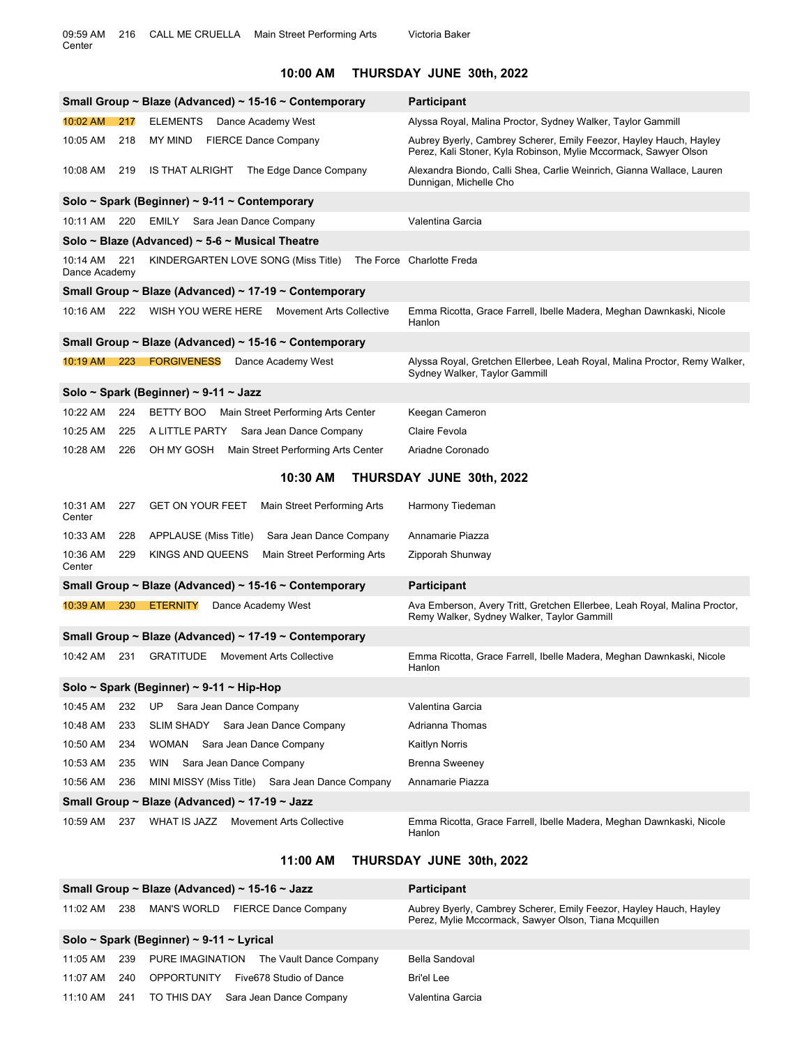### **10:00 AM THURSDAY JUNE 30th, 2022**

|                           |     | Small Group ~ Blaze (Advanced) ~ 15-16 ~ Contemporary  | <b>Participant</b>                                                                                                                     |
|---------------------------|-----|--------------------------------------------------------|----------------------------------------------------------------------------------------------------------------------------------------|
| 10:02 AM                  | 217 | <b>ELEMENTS</b><br>Dance Academy West                  | Alyssa Royal, Malina Proctor, Sydney Walker, Taylor Gammill                                                                            |
| 10:05 AM                  | 218 | <b>MY MIND</b><br><b>FIERCE Dance Company</b>          | Aubrey Byerly, Cambrey Scherer, Emily Feezor, Hayley Hauch, Hayley<br>Perez, Kali Stoner, Kyla Robinson, Mylie Mccormack, Sawyer Olson |
| 10:08 AM                  | 219 | IS THAT ALRIGHT The Edge Dance Company                 | Alexandra Biondo, Calli Shea, Carlie Weinrich, Gianna Wallace, Lauren<br>Dunnigan, Michelle Cho                                        |
|                           |     | Solo ~ Spark (Beginner) ~ 9-11 ~ Contemporary          |                                                                                                                                        |
| 10:11 AM 220              |     | EMILY Sara Jean Dance Company                          | Valentina Garcia                                                                                                                       |
|                           |     | Solo ~ Blaze (Advanced) ~ $5-6$ ~ Musical Theatre      |                                                                                                                                        |
| 10:14 AM<br>Dance Academy | 221 | KINDERGARTEN LOVE SONG (Miss Title)                    | The Force Charlotte Freda                                                                                                              |
|                           |     | Small Group ~ Blaze (Advanced) ~ 17-19 ~ Contemporary  |                                                                                                                                        |
| 10:16 AM                  | 222 | WISH YOU WERE HERE Movement Arts Collective            | Emma Ricotta, Grace Farrell, Ibelle Madera, Meghan Dawnkaski, Nicole<br>Hanlon                                                         |
|                           |     | Small Group ~ Blaze (Advanced) ~ 15-16 ~ Contemporary  |                                                                                                                                        |
|                           |     | 10:19 AM 223 FORGIVENESS Dance Academy West            | Alyssa Royal, Gretchen Ellerbee, Leah Royal, Malina Proctor, Remy Walker,<br>Sydney Walker, Taylor Gammill                             |
|                           |     | Solo ~ Spark (Beginner) ~ 9-11 ~ Jazz                  |                                                                                                                                        |
| 10:22 AM                  | 224 | BETTY BOO<br>Main Street Performing Arts Center        | Keegan Cameron                                                                                                                         |
| 10:25 AM                  | 225 | A LITTLE PARTY<br>Sara Jean Dance Company              | Claire Fevola                                                                                                                          |
| 10:28 AM                  | 226 | OH MY GOSH<br>Main Street Performing Arts Center       | Ariadne Coronado                                                                                                                       |
|                           |     | 10:30 AM                                               | THURSDAY JUNE 30th, 2022                                                                                                               |
| 10:31 AM<br>Center        | 227 | <b>GET ON YOUR FEET</b><br>Main Street Performing Arts | Harmony Tiedeman                                                                                                                       |
| 10:33 AM                  | 228 | APPLAUSE (Miss Title)<br>Sara Jean Dance Company       | Annamarie Piazza                                                                                                                       |
| 10:36 AM<br>Center        | 229 | KINGS AND QUEENS<br>Main Street Performing Arts        | Zipporah Shunway                                                                                                                       |
|                           |     | Small Group ~ Blaze (Advanced) ~ 15-16 ~ Contemporary  | <b>Participant</b>                                                                                                                     |
|                           |     | 10:39 AM  230  ETERNITY<br>Dance Academy West          | Ava Emberson, Avery Tritt, Gretchen Ellerbee, Leah Royal, Malina Proctor,<br>Remy Walker, Sydney Walker, Taylor Gammill                |
|                           |     | Small Group ~ Blaze (Advanced) ~ 17-19 ~ Contemporary  |                                                                                                                                        |
| 10:42 AM 231              |     | <b>GRATITUDE</b> Movement Arts Collective              | Emma Ricotta, Grace Farrell, Ibelle Madera, Meghan Dawnkaski, Nicole<br>Hanlon                                                         |
|                           |     | Solo ~ Spark (Beginner) ~ 9-11 ~ Hip-Hop               |                                                                                                                                        |
| 10:45 AM                  | 232 | UP<br>Sara Jean Dance Company                          | Valentina Garcia                                                                                                                       |
| 10:48 AM                  | 233 | SLIM SHADY Sara Jean Dance Company                     | Adrianna Thomas                                                                                                                        |
| 10:50 AM                  | 234 | WOMAN Sara Jean Dance Company                          | Kaitlyn Norris                                                                                                                         |
| 10:53 AM                  | 235 | Sara Jean Dance Company<br>WIN                         | <b>Brenna Sweeney</b>                                                                                                                  |
| 10:56 AM                  | 236 | MINI MISSY (Miss Title) Sara Jean Dance Company        | Annamarie Piazza                                                                                                                       |
|                           |     | Small Group ~ Blaze (Advanced) ~ 17-19 ~ Jazz          |                                                                                                                                        |
| 10:59 AM                  | 237 | WHAT IS JAZZ Movement Arts Collective                  | Emma Ricotta, Grace Farrell, Ibelle Madera, Meghan Dawnkaski, Nicole<br>Hanlon                                                         |

### **11:00 AM THURSDAY JUNE 30th, 2022**

|            |     | Small Group ~ Blaze (Advanced) ~ 15-16 ~ Jazz | <b>Participant</b>                                                                                                          |
|------------|-----|-----------------------------------------------|-----------------------------------------------------------------------------------------------------------------------------|
| $11:02$ AM | 238 | MAN'S WORLD<br><b>FIERCE Dance Company</b>    | Aubrey Byerly, Cambrey Scherer, Emily Feezor, Hayley Hauch, Hayley<br>Perez, Mylie Mccormack, Sawyer Olson, Tiana Mcquillen |
|            |     | Solo ~ Spark (Beginner) ~ 9-11 ~ Lyrical      |                                                                                                                             |
| 11:05 AM   | 239 | PURE IMAGINATION<br>The Vault Dance Company   | Bella Sandoval                                                                                                              |
| 11:07 AM   | 240 | <b>OPPORTUNITY</b><br>Five678 Studio of Dance | Bri'el Lee                                                                                                                  |
| $11:10$ AM | 241 | TO THIS DAY<br>Sara Jean Dance Company        | Valentina Garcia                                                                                                            |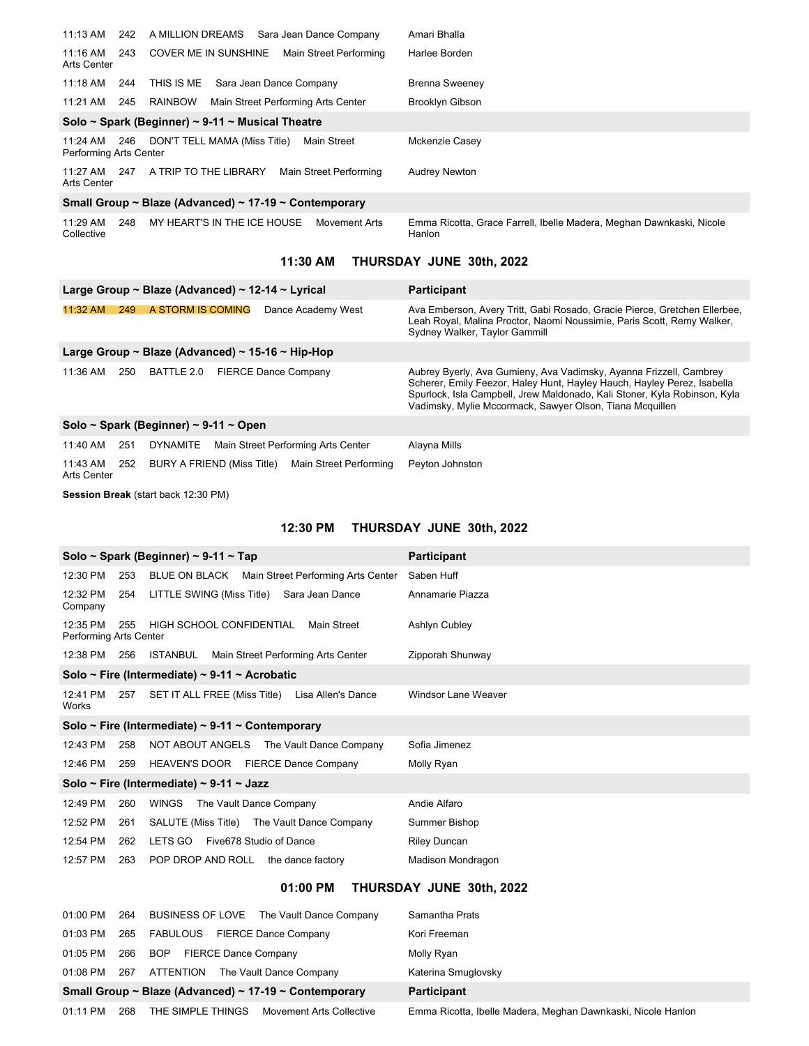| 11:13 AM                           | 242 | A MILLION DREAMS<br>Sara Jean Dance Company           | Amari Bhalla                                                                   |
|------------------------------------|-----|-------------------------------------------------------|--------------------------------------------------------------------------------|
| 11:16 AM<br>Arts Center            | 243 | <b>COVER ME IN SUNSHINE</b><br>Main Street Performing | Harlee Borden                                                                  |
| 11:18 AM                           | 244 | THIS IS ME<br>Sara Jean Dance Company                 | <b>Brenna Sweeney</b>                                                          |
| 11:21 AM                           | 245 | <b>RAINBOW</b><br>Main Street Performing Arts Center  | Brooklyn Gibson                                                                |
|                                    |     | Solo ~ Spark (Beginner) ~ 9-11 ~ Musical Theatre      |                                                                                |
| 11:24 AM<br>Performing Arts Center | 246 | Main Street<br>DON'T TELL MAMA (Miss Title)           | Mckenzie Casey                                                                 |
| 11:27 AM<br>Arts Center            | 247 | A TRIP TO THE LIBRARY<br>Main Street Performing       | <b>Audrey Newton</b>                                                           |
|                                    |     | Small Group ~ Blaze (Advanced) ~ 17-19 ~ Contemporary |                                                                                |
| 11:29 AM<br>Collective             | 248 | MY HEART'S IN THE ICE HOUSE<br>Movement Arts          | Emma Ricotta, Grace Farrell, Ibelle Madera, Meghan Dawnkaski, Nicole<br>Hanlon |

### **11:30 AM THURSDAY JUNE 30th, 2022**

| Large Group ~ Blaze (Advanced) ~ 12-14 ~ Lyrical |     |                   |  |                                                   | <b>Participant</b>                                                                                                                                                                                                                                                                     |
|--------------------------------------------------|-----|-------------------|--|---------------------------------------------------|----------------------------------------------------------------------------------------------------------------------------------------------------------------------------------------------------------------------------------------------------------------------------------------|
| 11:32 AM                                         | 249 | A STORM IS COMING |  | Dance Academy West                                | Ava Emberson, Avery Tritt, Gabi Rosado, Gracie Pierce, Gretchen Ellerbee,<br>Leah Royal, Malina Proctor, Naomi Noussimie, Paris Scott, Remy Walker,<br>Sydney Walker, Taylor Gammill                                                                                                   |
| Large Group ~ Blaze (Advanced) ~ 15-16 ~ Hip-Hop |     |                   |  |                                                   |                                                                                                                                                                                                                                                                                        |
| 11:36 AM                                         | 250 | BATTLE 2.0        |  | <b>FIERCE Dance Company</b>                       | Aubrey Byerly, Ava Gumieny, Ava Vadimsky, Ayanna Frizzell, Cambrey<br>Scherer, Emily Feezor, Haley Hunt, Hayley Hauch, Hayley Perez, Isabella<br>Spurlock, Isla Campbell, Jrew Maldonado, Kali Stoner, Kyla Robinson, Kyla<br>Vadimsky, Mylie Mccormack, Sawyer Olson, Tiana Mcquillen |
| Solo ~ Spark (Beginner) ~ 9-11 ~ Open            |     |                   |  |                                                   |                                                                                                                                                                                                                                                                                        |
| 11:40 AM                                         | 251 | DYNAMITE          |  | Main Street Performing Arts Center                | Alayna Mills                                                                                                                                                                                                                                                                           |
| 11:43 AM<br>Arts Center                          | 252 |                   |  | BURY A FRIEND (Miss Title) Main Street Performing | Peyton Johnston                                                                                                                                                                                                                                                                        |

**Session Break** (start back 12:30 PM)

### **12:30 PM THURSDAY JUNE 30th, 2022**

|                                    |     | Solo ~ Spark (Beginner) ~ 9-11 ~ Tap                | <b>Participant</b>  |
|------------------------------------|-----|-----------------------------------------------------|---------------------|
| 12:30 PM                           | 253 | BLUE ON BLACK<br>Main Street Performing Arts Center | Saben Huff          |
| 12:32 PM<br>Company                | 254 | LITTLE SWING (Miss Title) Sara Jean Dance           | Annamarie Piazza    |
| 12:35 PM<br>Performing Arts Center | 255 | HIGH SCHOOL CONFIDENTIAL<br>Main Street             | Ashlyn Cubley       |
| 12:38 PM                           | 256 | ISTANBUL<br>Main Street Performing Arts Center      | Zipporah Shunway    |
|                                    |     | Solo ~ Fire (Intermediate) ~ 9-11 ~ Acrobatic       |                     |
| 12:41 PM<br>Works                  | 257 | SET IT ALL FREE (Miss Title) Lisa Allen's Dance     | Windsor Lane Weaver |
|                                    |     | Solo ~ Fire (Intermediate) ~ 9-11 ~ Contemporary    |                     |
| 12:43 PM                           | 258 | NOT ABOUT ANGELS The Vault Dance Company            | Sofia Jimenez       |
| 12:46 PM                           | 259 | HEAVEN'S DOOR FIERCE Dance Company                  | Molly Ryan          |
|                                    |     | Solo ~ Fire (Intermediate) ~ 9-11 ~ Jazz            |                     |
| 12:49 PM                           | 260 | The Vault Dance Company<br>WINGS                    | Andie Alfaro        |
| 12:52 PM                           | 261 | SALUTE (Miss Title) The Vault Dance Company         | Summer Bishop       |
| 12:54 PM                           | 262 | LETS GO<br>Five678 Studio of Dance                  | Riley Duncan        |
| 12:57 PM                           | 263 | POP DROP AND ROLL<br>the dance factory              | Madison Mondragon   |

### **01:00 PM THURSDAY JUNE 30th, 2022**

| 01:00 PM | 264 | BUSINESS OF LOVE The Vault Dance Company              | Samantha Prats                                               |
|----------|-----|-------------------------------------------------------|--------------------------------------------------------------|
| 01:03 PM | 265 | FABULOUS<br><b>FIERCE Dance Company</b>               | Kori Freeman                                                 |
| 01:05 PM | 266 | <b>FIERCE Dance Company</b><br><b>BOP</b>             | Molly Ryan                                                   |
| 01:08 PM | 267 | ATTENTION<br>The Vault Dance Company                  | Katerina Smuglovsky                                          |
|          |     | Small Group ~ Blaze (Advanced) ~ 17-19 ~ Contemporary | <b>Participant</b>                                           |
| 01:11 PM | 268 | THE SIMPLE THINGS<br><b>Movement Arts Collective</b>  | Emma Ricotta, Ibelle Madera, Meghan Dawnkaski, Nicole Hanlon |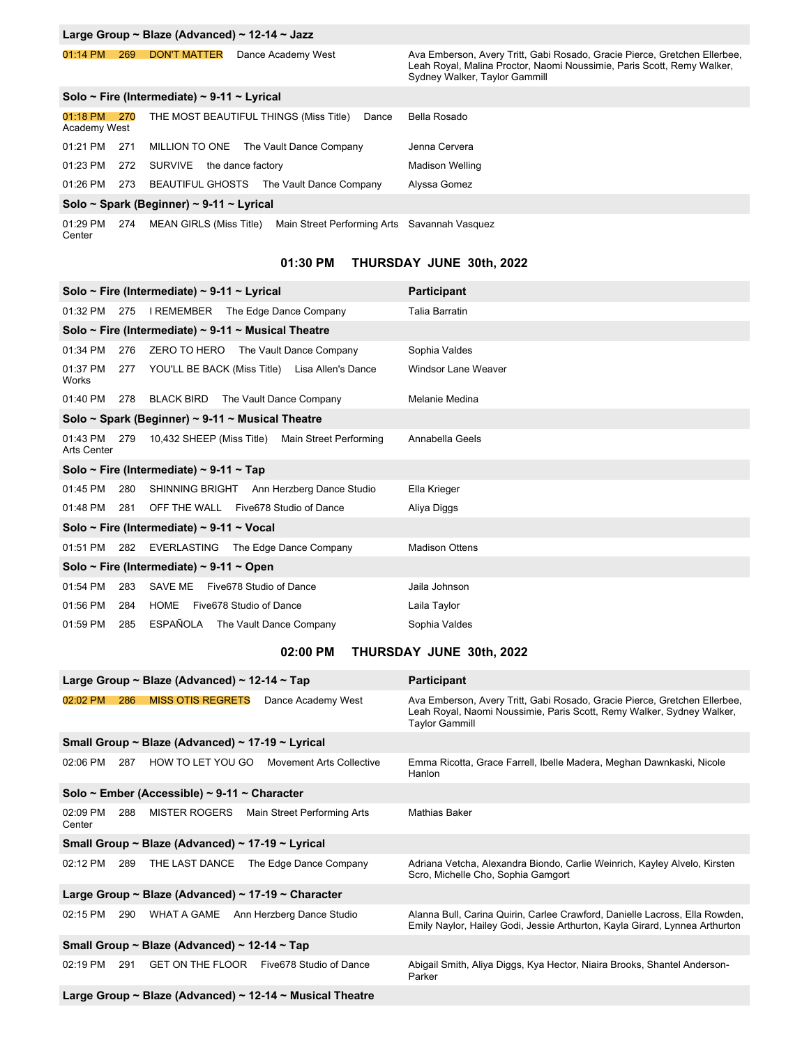| Large Group ~ Blaze (Advanced) ~ 12-14 ~ Jazz                                                                        |                         |                                                                                                                                                                                      |  |  |  |
|----------------------------------------------------------------------------------------------------------------------|-------------------------|--------------------------------------------------------------------------------------------------------------------------------------------------------------------------------------|--|--|--|
| <b>DON'T MATTER</b><br>01:14 PM<br>269                                                                               | Dance Academy West      | Ava Emberson, Avery Tritt, Gabi Rosado, Gracie Pierce, Gretchen Ellerbee,<br>Leah Royal, Malina Proctor, Naomi Noussimie, Paris Scott, Remy Walker,<br>Sydney Walker, Taylor Gammill |  |  |  |
| Solo ~ Fire (Intermediate) ~ 9-11 ~ Lyrical                                                                          |                         |                                                                                                                                                                                      |  |  |  |
| THE MOST BEAUTIFUL THINGS (Miss Title)<br>01:18 PM<br>270<br>Academy West                                            | Dance                   | Bella Rosado                                                                                                                                                                         |  |  |  |
| MILLION TO ONE The Vault Dance Company<br>01:21 PM<br>271                                                            |                         | Jenna Cervera                                                                                                                                                                        |  |  |  |
| 272<br>SURVIVE<br>the dance factory<br>01:23 PM                                                                      |                         | <b>Madison Welling</b>                                                                                                                                                               |  |  |  |
| <b>BEAUTIFUL GHOSTS</b><br>$01:26$ PM<br>273                                                                         | The Vault Dance Company | Alyssa Gomez                                                                                                                                                                         |  |  |  |
| Solo ~ Spark (Beginner) ~ 9-11 ~ Lyrical                                                                             |                         |                                                                                                                                                                                      |  |  |  |
| $\overline{074}$ MEAN OIDLO (Miss Title) Mais Other the female of the Operator of March 1<br>$0.4.00 \, \mathrm{D}M$ |                         |                                                                                                                                                                                      |  |  |  |

01:29 PM 274 MEAN GIRLS (Miss Title) Main Street Performing Arts Center Savannah Vasquez

### **01:30 PM THURSDAY JUNE 30th, 2022**

|                                |                                          | Solo ~ Fire (Intermediate) ~ 9-11 ~ Lyrical          | <b>Participant</b>    |  |  |  |
|--------------------------------|------------------------------------------|------------------------------------------------------|-----------------------|--|--|--|
| 01:32 PM                       |                                          | 275 I REMEMBER The Edge Dance Company                | Talia Barratin        |  |  |  |
|                                |                                          | Solo ~ Fire (Intermediate) ~ 9-11 ~ Musical Theatre  |                       |  |  |  |
| 01:34 PM                       | 276                                      | ZERO TO HERO The Vault Dance Company                 | Sophia Valdes         |  |  |  |
| 01:37 PM<br>Works              | 277                                      | YOU'LL BE BACK (Miss Title) Lisa Allen's Dance       | Windsor Lane Weaver   |  |  |  |
| 01:40 PM                       |                                          | 278 BLACK BIRD The Vault Dance Company               | Melanie Medina        |  |  |  |
|                                |                                          | Solo ~ Spark (Beginner) ~ 9-11 ~ Musical Theatre     |                       |  |  |  |
| 01:43 PM<br><b>Arts Center</b> |                                          | 279 10,432 SHEEP (Miss Title) Main Street Performing | Annabella Geels       |  |  |  |
|                                |                                          | Solo ~ Fire (Intermediate) ~ 9-11 ~ Tap              |                       |  |  |  |
| 01:45 PM 280                   |                                          | SHINNING BRIGHT Ann Herzberg Dance Studio            | Ella Krieger          |  |  |  |
| 01:48 PM 281                   |                                          | OFF THE WALL Five 678 Studio of Dance                | Aliya Diggs           |  |  |  |
|                                |                                          | Solo ~ Fire (Intermediate) ~ 9-11 ~ Vocal            |                       |  |  |  |
|                                |                                          | 01:51 PM 282 EVERLASTING The Edge Dance Company      | <b>Madison Ottens</b> |  |  |  |
|                                | Solo ~ Fire (Intermediate) ~ 9-11 ~ Open |                                                      |                       |  |  |  |
| 01:54 PM                       | 283                                      | SAVE ME Five 678 Studio of Dance                     | Jaila Johnson         |  |  |  |
| 01:56 PM                       | 284                                      | HOME Five678 Studio of Dance                         | Laila Taylor          |  |  |  |
| 01:59 PM                       | 285                                      | ESPAÑOLA The Vault Dance Company                     | Sophia Valdes         |  |  |  |

### **02:00 PM THURSDAY JUNE 30th, 2022**

|                                              |     | Large Group ~ Blaze (Advanced) ~ 12-14 ~ Tap       |                                                          | <b>Participant</b>                                                                                                                                                          |  |
|----------------------------------------------|-----|----------------------------------------------------|----------------------------------------------------------|-----------------------------------------------------------------------------------------------------------------------------------------------------------------------------|--|
| 02:02 PM                                     | 286 | <b>MISS OTIS REGRETS</b>                           | Dance Academy West                                       | Ava Emberson, Avery Tritt, Gabi Rosado, Gracie Pierce, Gretchen Ellerbee,<br>Leah Royal, Naomi Noussimie, Paris Scott, Remy Walker, Sydney Walker,<br><b>Taylor Gammill</b> |  |
|                                              |     | Small Group ~ Blaze (Advanced) ~ 17-19 ~ Lyrical   |                                                          |                                                                                                                                                                             |  |
| 02:06 PM                                     | 287 | HOW TO LET YOU GO                                  | Movement Arts Collective                                 | Emma Ricotta, Grace Farrell, Ibelle Madera, Meghan Dawnkaski, Nicole<br>Hanlon                                                                                              |  |
|                                              |     | Solo ~ Ember (Accessible) ~ 9-11 ~ Character       |                                                          |                                                                                                                                                                             |  |
| 02:09 PM<br>Center                           | 288 | <b>MISTER ROGERS</b>                               | Main Street Performing Arts                              | <b>Mathias Baker</b>                                                                                                                                                        |  |
|                                              |     | Small Group ~ Blaze (Advanced) ~ 17-19 ~ Lyrical   |                                                          |                                                                                                                                                                             |  |
| 02:12 PM                                     | 289 |                                                    | THE LAST DANCE The Edge Dance Company                    | Adriana Vetcha, Alexandra Biondo, Carlie Weinrich, Kayley Alvelo, Kirsten<br>Scro, Michelle Cho, Sophia Gamgort                                                             |  |
|                                              |     | Large Group ~ Blaze (Advanced) ~ 17-19 ~ Character |                                                          |                                                                                                                                                                             |  |
| 02:15 PM                                     | 290 | WHAT A GAME                                        | Ann Herzberg Dance Studio                                | Alanna Bull, Carina Quirin, Carlee Crawford, Danielle Lacross, Ella Rowden,<br>Emily Naylor, Hailey Godi, Jessie Arthurton, Kayla Girard, Lynnea Arthurton                  |  |
| Small Group ~ Blaze (Advanced) ~ 12-14 ~ Tap |     |                                                    |                                                          |                                                                                                                                                                             |  |
| 02:19 PM                                     | 291 | <b>GET ON THE FLOOR</b>                            | Five678 Studio of Dance                                  | Abigail Smith, Aliya Diggs, Kya Hector, Niaira Brooks, Shantel Anderson-<br>Parker                                                                                          |  |
|                                              |     |                                                    | Large Group ~ Blaze (Advanced) ~ 12-14 ~ Musical Theatre |                                                                                                                                                                             |  |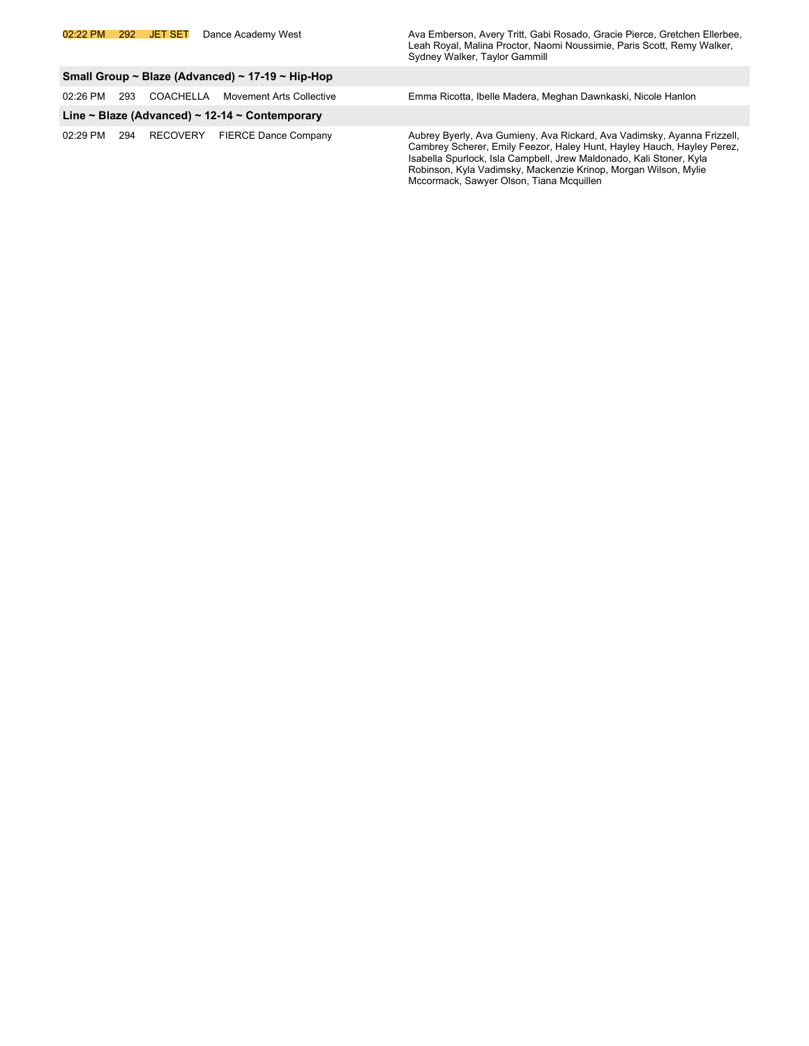02:22 PM 292 JET SET Dance Academy West Ava Emberson, Avery Tritt, Gabi Rosado, Gracie Pierce, Gretchen Ellerbee, Leah Royal, Malina Proctor, Naomi Noussimie, Paris Scott, Remy Walker, Sydney Walker, Taylor Gammill

Mccormack, Sawyer Olson, Tiana Mcquillen

| Small Group ~ Blaze (Advanced) ~ 17-19 ~ Hip-Hop |                                                |           |                                   |                                                                                                                                                                                                                                                                                             |  |  |
|--------------------------------------------------|------------------------------------------------|-----------|-----------------------------------|---------------------------------------------------------------------------------------------------------------------------------------------------------------------------------------------------------------------------------------------------------------------------------------------|--|--|
| 02:26 PM                                         | 293                                            | COACHELLA | Movement Arts Collective          | Emma Ricotta, Ibelle Madera, Meghan Dawnkaski, Nicole Hanlon                                                                                                                                                                                                                                |  |  |
|                                                  | Line ~ Blaze (Advanced) ~ 12-14 ~ Contemporary |           |                                   |                                                                                                                                                                                                                                                                                             |  |  |
| 02:29 PM                                         |                                                |           | 294 RECOVERY FIERCE Dance Company | Aubrey Byerly, Ava Gumieny, Ava Rickard, Ava Vadimsky, Ayanna Frizzell,<br>Cambrey Scherer, Emily Feezor, Haley Hunt, Hayley Hauch, Hayley Perez,<br>Isabella Spurlock, Isla Campbell, Jrew Maldonado, Kali Stoner, Kyla<br>Robinson, Kyla Vadimsky, Mackenzie Krinop, Morgan Wilson, Mylie |  |  |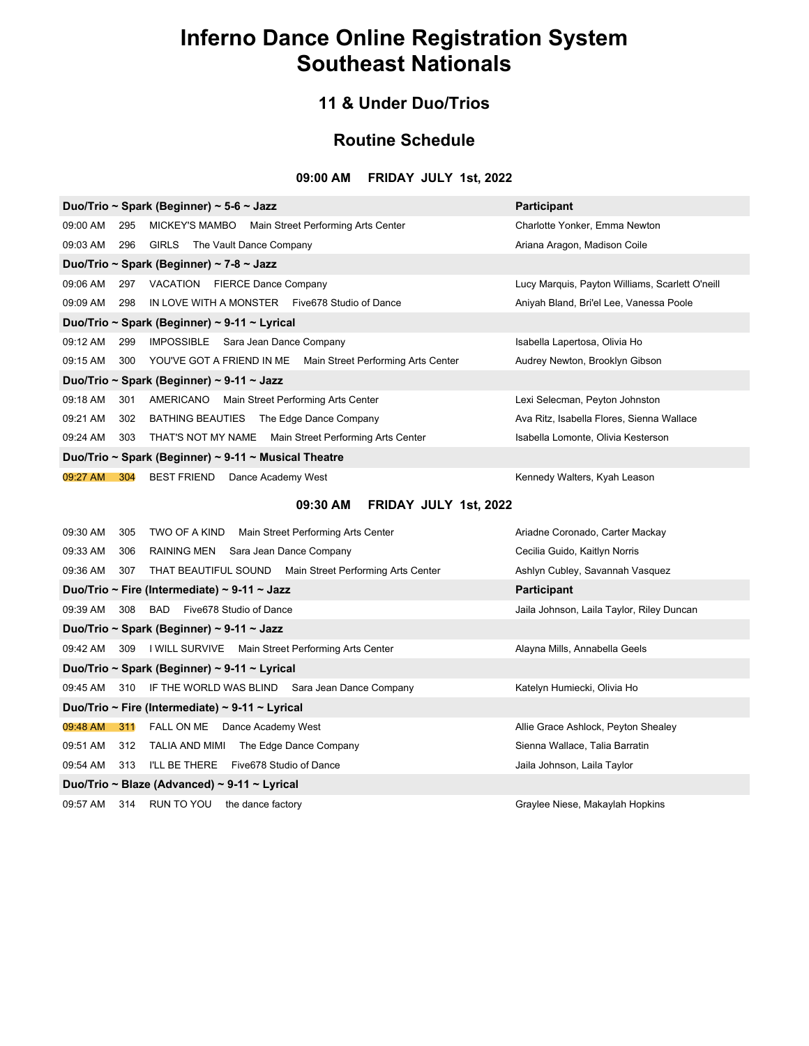### **11 & Under Duo/Trios**

### **Routine Schedule**

### **09:00 AM FRIDAY JULY 1st, 2022**

| Duo/Trio ~ Spark (Beginner) ~ 5-6 ~ Jazz                                        | <b>Participant</b>                              |  |  |  |
|---------------------------------------------------------------------------------|-------------------------------------------------|--|--|--|
| 09:00 AM<br>MICKEY'S MAMBO Main Street Performing Arts Center<br>295            | Charlotte Yonker, Emma Newton                   |  |  |  |
| The Vault Dance Company<br>09:03 AM<br>GIRLS<br>296                             | Ariana Aragon, Madison Coile                    |  |  |  |
| Duo/Trio ~ Spark (Beginner) ~ 7-8 ~ Jazz                                        |                                                 |  |  |  |
| VACATION FIERCE Dance Company<br>09:06 AM<br>297                                | Lucy Marquis, Payton Williams, Scarlett O'neill |  |  |  |
| IN LOVE WITH A MONSTER Five678 Studio of Dance<br>09:09 AM<br>298               | Aniyah Bland, Bri'el Lee, Vanessa Poole         |  |  |  |
| Duo/Trio ~ Spark (Beginner) ~ 9-11 ~ Lyrical                                    |                                                 |  |  |  |
| IMPOSSIBLE Sara Jean Dance Company<br>09:12 AM<br>299                           | Isabella Lapertosa, Olivia Ho                   |  |  |  |
| YOU'VE GOT A FRIEND IN ME Main Street Performing Arts Center<br>09:15 AM<br>300 | Audrey Newton, Brooklyn Gibson                  |  |  |  |
| Duo/Trio ~ Spark (Beginner) ~ 9-11 ~ Jazz                                       |                                                 |  |  |  |
| 09:18 AM<br>AMERICANO<br>Main Street Performing Arts Center<br>301              | Lexi Selecman, Peyton Johnston                  |  |  |  |
| 09:21 AM<br>BATHING BEAUTIES The Edge Dance Company<br>302                      | Ava Ritz, Isabella Flores, Sienna Wallace       |  |  |  |
| THAT'S NOT MY NAME Main Street Performing Arts Center<br>09:24 AM<br>303        | Isabella Lomonte, Olivia Kesterson              |  |  |  |
| Duo/Trio ~ Spark (Beginner) ~ 9-11 ~ Musical Theatre                            |                                                 |  |  |  |
| 09:27 AM<br>BEST FRIEND Dance Academy West<br>304                               | Kennedy Walters, Kyah Leason                    |  |  |  |

### **09:30 AM FRIDAY JULY 1st, 2022**

| 09:30 AM                                     | 305<br>TWO OF A KIND Main Street Performing Arts Center        | Ariadne Coronado, Carter Mackay           |  |  |
|----------------------------------------------|----------------------------------------------------------------|-------------------------------------------|--|--|
| 09:33 AM                                     | RAINING MEN Sara Jean Dance Company<br>306                     | Cecilia Guido, Kaitlyn Norris             |  |  |
| 09:36 AM                                     | THAT BEAUTIFUL SOUND Main Street Performing Arts Center<br>307 | Ashlyn Cubley, Savannah Vasquez           |  |  |
|                                              | Duo/Trio ~ Fire (Intermediate) ~ 9-11 ~ Jazz                   | <b>Participant</b>                        |  |  |
| 09:39 AM                                     | 308 BAD Five 678 Studio of Dance                               | Jaila Johnson, Laila Taylor, Riley Duncan |  |  |
|                                              | Duo/Trio ~ Spark (Beginner) ~ 9-11 ~ Jazz                      |                                           |  |  |
| 09:42 AM 309                                 | I WILL SURVIVE Main Street Performing Arts Center              | Alayna Mills, Annabella Geels             |  |  |
|                                              | Duo/Trio ~ Spark (Beginner) ~ 9-11 ~ Lyrical                   |                                           |  |  |
|                                              | 09:45 AM 310 IF THE WORLD WAS BLIND Sara Jean Dance Company    | Katelyn Humiecki, Olivia Ho               |  |  |
|                                              | Duo/Trio ~ Fire (Intermediate) ~ 9-11 ~ Lyrical                |                                           |  |  |
|                                              | 09:48 AM 311 FALL ON ME Dance Academy West                     | Allie Grace Ashlock, Peyton Shealey       |  |  |
| 09:51 AM                                     | TALIA AND MIMI The Edge Dance Company<br>312                   | Sienna Wallace, Talia Barratin            |  |  |
| 09:54 AM                                     | I'LL BE THERE Five678 Studio of Dance<br>313                   | Jaila Johnson, Laila Taylor               |  |  |
| Duo/Trio ~ Blaze (Advanced) ~ 9-11 ~ Lyrical |                                                                |                                           |  |  |
| 09:57 AM                                     | 314 RUN TO YOU<br>the dance factory                            | Graylee Niese, Makaylah Hopkins           |  |  |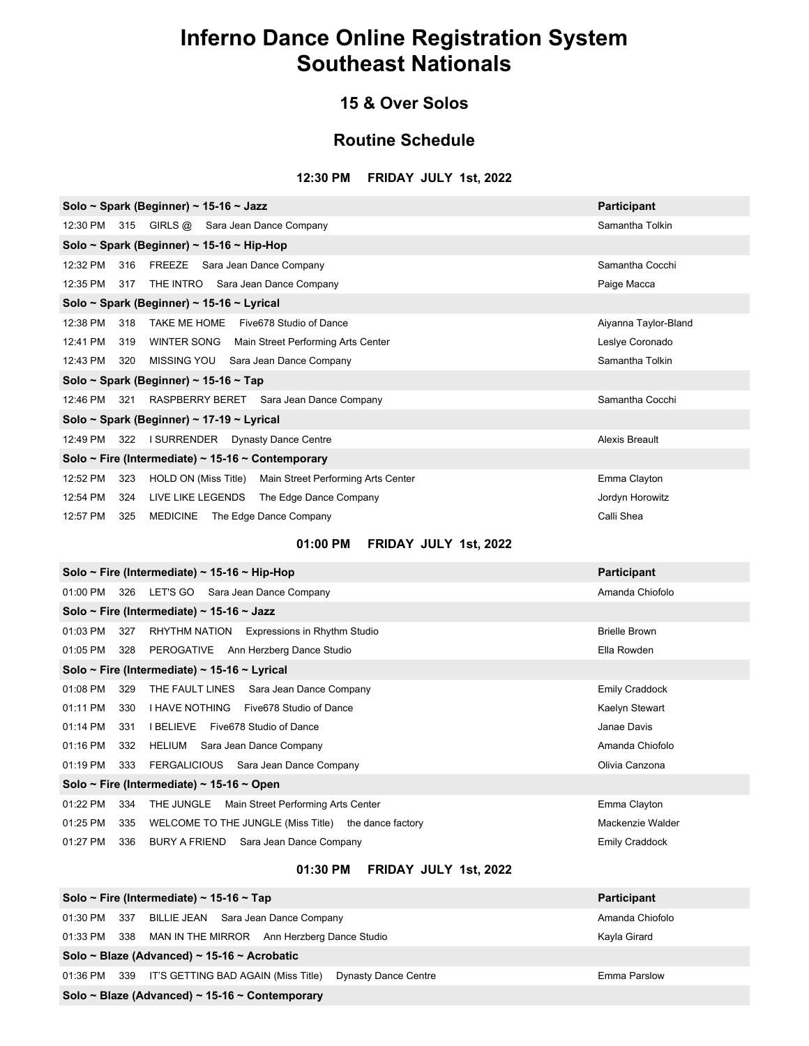### **15 & Over Solos**

### **Routine Schedule**

#### **12:30 PM FRIDAY JULY 1st, 2022**

| Solo ~ Spark (Beginner) ~ 15-16 ~ Jazz<br>Participant                   |                       |  |  |  |  |  |
|-------------------------------------------------------------------------|-----------------------|--|--|--|--|--|
| 12:30 PM 315 GIRLS @ Sara Jean Dance Company                            | Samantha Tolkin       |  |  |  |  |  |
| Solo ~ Spark (Beginner) ~ 15-16 ~ Hip-Hop                               |                       |  |  |  |  |  |
| 12:32 PM 316 FREEZE Sara Jean Dance Company                             | Samantha Cocchi       |  |  |  |  |  |
| 12:35 PM 317 THE INTRO Sara Jean Dance Company                          | Paige Macca           |  |  |  |  |  |
| Solo ~ Spark (Beginner) ~ 15-16 ~ Lyrical                               |                       |  |  |  |  |  |
| 12:38 PM<br>318 TAKE ME HOME Five678 Studio of Dance                    | Aiyanna Taylor-Bland  |  |  |  |  |  |
| 12:41 PM<br>319 WINTER SONG Main Street Performing Arts Center          | Leslye Coronado       |  |  |  |  |  |
| 12:43 PM 320 MISSING YOU Sara Jean Dance Company                        | Samantha Tolkin       |  |  |  |  |  |
| Solo ~ Spark (Beginner) ~ 15-16 ~ Tap                                   |                       |  |  |  |  |  |
| 12:46 PM 321 RASPBERRY BERET Sara Jean Dance Company                    | Samantha Cocchi       |  |  |  |  |  |
| Solo ~ Spark (Beginner) ~ 17-19 ~ Lyrical                               |                       |  |  |  |  |  |
| 12:49 PM 322 I SURRENDER Dynasty Dance Centre                           | Alexis Breault        |  |  |  |  |  |
| Solo ~ Fire (Intermediate) ~ 15-16 ~ Contemporary                       |                       |  |  |  |  |  |
| 12:52 PM<br>323 HOLD ON (Miss Title) Main Street Performing Arts Center | Emma Clayton          |  |  |  |  |  |
| 12:54 PM<br>324 LIVE LIKE LEGENDS The Edge Dance Company                | Jordyn Horowitz       |  |  |  |  |  |
| 12:57 PM<br>325 MEDICINE The Edge Dance Company                         | Calli Shea            |  |  |  |  |  |
| 01:00 PM FRIDAY JULY 1st, 2022                                          |                       |  |  |  |  |  |
| Solo ~ Fire (Intermediate) ~ 15-16 ~ Hip-Hop                            | <b>Participant</b>    |  |  |  |  |  |
| 01:00 PM 326 LET'S GO Sara Jean Dance Company                           | Amanda Chiofolo       |  |  |  |  |  |
| Solo ~ Fire (Intermediate) ~ 15-16 ~ Jazz                               |                       |  |  |  |  |  |
| 01:03 PM<br>327 RHYTHM NATION Expressions in Rhythm Studio              | <b>Brielle Brown</b>  |  |  |  |  |  |
| 01:05 PM 328 PEROGATIVE Ann Herzberg Dance Studio                       | Ella Rowden           |  |  |  |  |  |
| Solo ~ Fire (Intermediate) ~ 15-16 ~ Lyrical                            |                       |  |  |  |  |  |
| 01:08 PM<br>329<br>THE FAULT LINES Sara Jean Dance Company              | <b>Emily Craddock</b> |  |  |  |  |  |
| I HAVE NOTHING Five678 Studio of Dance<br>01:11 PM<br>330               | Kaelyn Stewart        |  |  |  |  |  |
| 01:14 PM<br>331 I BELIEVE Five678 Studio of Dance                       | Janae Davis           |  |  |  |  |  |
| 01:16 PM<br>332<br>HELIUM Sara Jean Dance Company                       | Amanda Chiofolo       |  |  |  |  |  |

01:19 PM 333 FERGALICIOUS Sara Jean Dance Company Company Communication of Clivia Canzona **Solo ~ Fire (Intermediate) ~ 15-16 ~ Open** 01:22 PM 334 THE JUNGLE Main Street Performing Arts Center **Emma Clayton** Emma Clayton 01:25 PM 335 WELCOME TO THE JUNGLE (Miss Title) the dance factory example the matches of the Mackenzie Walder

01:27 PM 336 BURY A FRIEND Sara Jean Dance Company **Emily Crane State Server Act A** Emily Craddock

**01:30 PM FRIDAY JULY 1st, 2022**

|                                             | Solo ~ Fire (Intermediate) ~ 15-16 ~ Tap                                  | <b>Participant</b> |  |  |
|---------------------------------------------|---------------------------------------------------------------------------|--------------------|--|--|
|                                             | 01:30 PM 337 BILLIE JEAN Sara Jean Dance Company                          | Amanda Chiofolo    |  |  |
| 01:33 PM                                    | 338 MAN IN THE MIRROR Ann Herzberg Dance Studio                           | Kayla Girard       |  |  |
| Solo ~ Blaze (Advanced) ~ 15-16 ~ Acrobatic |                                                                           |                    |  |  |
| 01:36 PM                                    | 339<br>IT'S GETTING BAD AGAIN (Miss Title)<br><b>Dynasty Dance Centre</b> | Emma Parslow       |  |  |

**Solo ~ Blaze (Advanced) ~ 15-16 ~ Contemporary**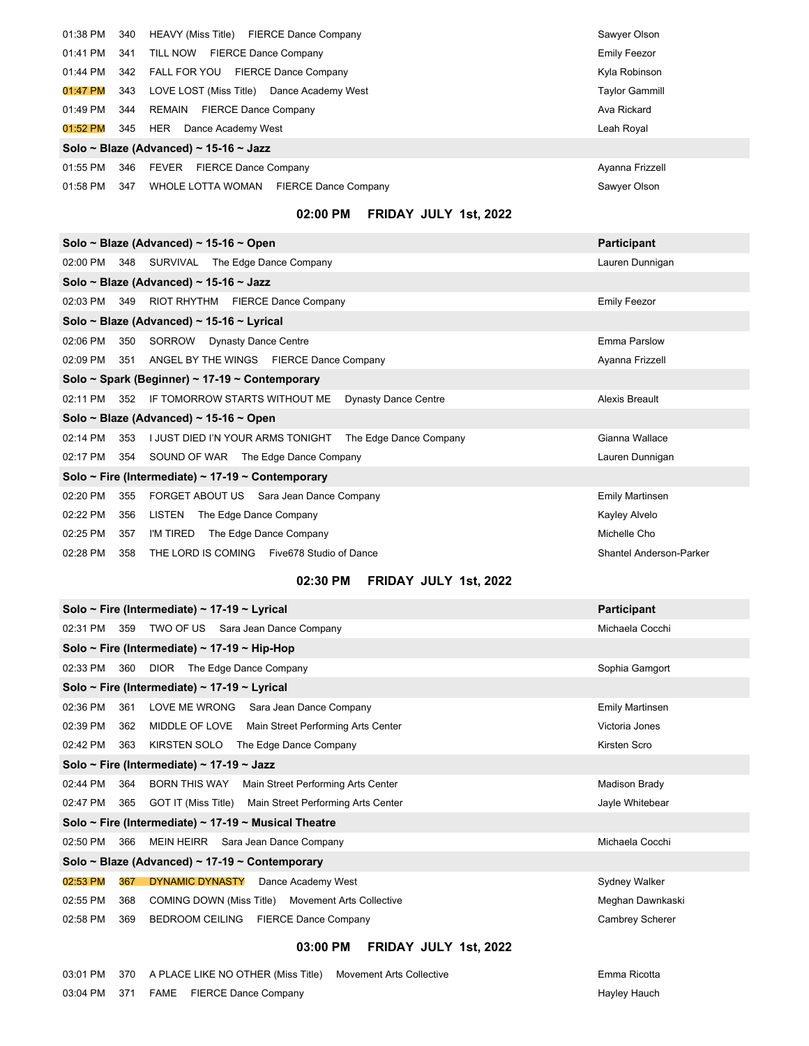| 01:38 PM 340                           |     | HEAVY (Miss Title) FIERCE Dance Company          | Sawyer Olson          |  |
|----------------------------------------|-----|--------------------------------------------------|-----------------------|--|
| 01:41 PM                               | 341 | TILL NOW<br><b>FIERCE Dance Company</b>          | Emily Feezor          |  |
| 01:44 PM                               | 342 | FALL FOR YOU<br><b>FIERCE Dance Company</b>      | Kyla Robinson         |  |
| 01:47 PM                               | 343 | LOVE LOST (Miss Title) Dance Academy West        | <b>Taylor Gammill</b> |  |
| 01:49 PM                               | 344 | <b>FIERCE Dance Company</b><br>REMAIN            | Ava Rickard           |  |
| 01:52 PM                               | 345 | <b>HER</b><br>Dance Academy West                 | Leah Royal            |  |
| Solo ~ Blaze (Advanced) ~ 15-16 ~ Jazz |     |                                                  |                       |  |
| $01:55$ PM                             | 346 | FEVER<br><b>FIERCE Dance Company</b>             | Ayanna Frizzell       |  |
| 01:58 PM                               | 347 | WHOLE LOTTA WOMAN<br><b>FIERCE Dance Company</b> | Sawyer Olson          |  |

### **02:00 PM FRIDAY JULY 1st, 2022**

| Solo ~ Blaze (Advanced) ~ 15-16 ~ Open<br><b>Participant</b>                    |                         |  |  |  |  |
|---------------------------------------------------------------------------------|-------------------------|--|--|--|--|
| 02:00 PM 348 SURVIVAL The Edge Dance Company                                    | Lauren Dunnigan         |  |  |  |  |
| Solo ~ Blaze (Advanced) ~ 15-16 ~ Jazz                                          |                         |  |  |  |  |
| 349 RIOT RHYTHM FIERCE Dance Company<br>02:03 PM                                | <b>Emily Feezor</b>     |  |  |  |  |
| Solo ~ Blaze (Advanced) ~ 15-16 ~ Lyrical                                       |                         |  |  |  |  |
| SORROW<br><b>Dynasty Dance Centre</b><br>02:06 PM<br>350                        | Emma Parslow            |  |  |  |  |
| 02:09 PM<br>ANGEL BY THE WINGS FIERCE Dance Company<br>351                      | Ayanna Frizzell         |  |  |  |  |
| Solo ~ Spark (Beginner) ~ 17-19 ~ Contemporary                                  |                         |  |  |  |  |
| IF TOMORROW STARTS WITHOUT ME<br><b>Dynasty Dance Centre</b><br>02:11 PM<br>352 | Alexis Breault          |  |  |  |  |
| Solo ~ Blaze (Advanced) ~ 15-16 ~ Open                                          |                         |  |  |  |  |
| I JUST DIED I'N YOUR ARMS TONIGHT<br>02:14 PM<br>The Edge Dance Company<br>353  | Gianna Wallace          |  |  |  |  |
| 02:17 PM<br>SOUND OF WAR The Edge Dance Company<br>354                          | Lauren Dunnigan         |  |  |  |  |
| Solo ~ Fire (Intermediate) ~ 17-19 ~ Contemporary                               |                         |  |  |  |  |
| FORGET ABOUT US Sara Jean Dance Company<br>02:20 PM<br>355                      | <b>Emily Martinsen</b>  |  |  |  |  |
| 02:22 PM<br>LISTEN<br>The Edge Dance Company<br>356                             | Kayley Alvelo           |  |  |  |  |
| 02:25 PM<br>I'M TIRED<br>357<br>The Edge Dance Company                          | Michelle Cho            |  |  |  |  |
| THE LORD IS COMING Five678 Studio of Dance<br>02:28 PM<br>358                   | Shantel Anderson-Parker |  |  |  |  |

### **02:30 PM FRIDAY JULY 1st, 2022**

| Solo ~ Fire (Intermediate) ~ 17-19 ~ Lyrical                              | <b>Participant</b>     |  |  |  |
|---------------------------------------------------------------------------|------------------------|--|--|--|
| TWO OF US Sara Jean Dance Company<br>02:31 PM<br>359                      | Michaela Cocchi        |  |  |  |
| Solo ~ Fire (Intermediate) ~ 17-19 ~ Hip-Hop                              |                        |  |  |  |
| DIOR The Edge Dance Company<br>02:33 PM<br>360                            | Sophia Gamgort         |  |  |  |
| Solo ~ Fire (Intermediate) ~ 17-19 ~ Lyrical                              |                        |  |  |  |
| LOVE ME WRONG Sara Jean Dance Company<br>02:36 PM<br>361                  | <b>Emily Martinsen</b> |  |  |  |
| MIDDLE OF LOVE Main Street Performing Arts Center<br>02:39 PM<br>362      | Victoria Jones         |  |  |  |
| 02:42 PM<br>KIRSTEN SOLO<br>The Edge Dance Company<br>363                 | Kirsten Scro           |  |  |  |
| Solo ~ Fire (Intermediate) ~ 17-19 ~ Jazz                                 |                        |  |  |  |
| BORN THIS WAY<br>02:44 PM<br>364<br>Main Street Performing Arts Center    | Madison Brady          |  |  |  |
| GOT IT (Miss Title) Main Street Performing Arts Center<br>02:47 PM<br>365 | Jayle Whitebear        |  |  |  |
| Solo ~ Fire (Intermediate) ~ 17-19 ~ Musical Theatre                      |                        |  |  |  |
| 02:50 PM<br>MEIN HEIRR Sara Jean Dance Company<br>366                     | Michaela Cocchi        |  |  |  |
| Solo ~ Blaze (Advanced) ~ 17-19 ~ Contemporary                            |                        |  |  |  |
| 02:53 PM<br><b>DYNAMIC DYNASTY</b><br>367<br>Dance Academy West           | Sydney Walker          |  |  |  |
| 02:55 PM<br>COMING DOWN (Miss Title) Movement Arts Collective<br>368      | Meghan Dawnkaski       |  |  |  |
| <b>BEDROOM CEILING</b><br>02:58 PM<br><b>FIERCE Dance Company</b><br>369  | Cambrey Scherer        |  |  |  |
|                                                                           |                        |  |  |  |

### **03:00 PM FRIDAY JULY 1st, 2022**

|  | 03:01 PM 370 A PLACE LIKE NO OTHER (Miss Title) Movement Arts Collective | Emma Ricotta |
|--|--------------------------------------------------------------------------|--------------|
|  | 03:04 PM 371 FAME FIERCE Dance Company                                   | Hayley Hauch |

Emma Ricotta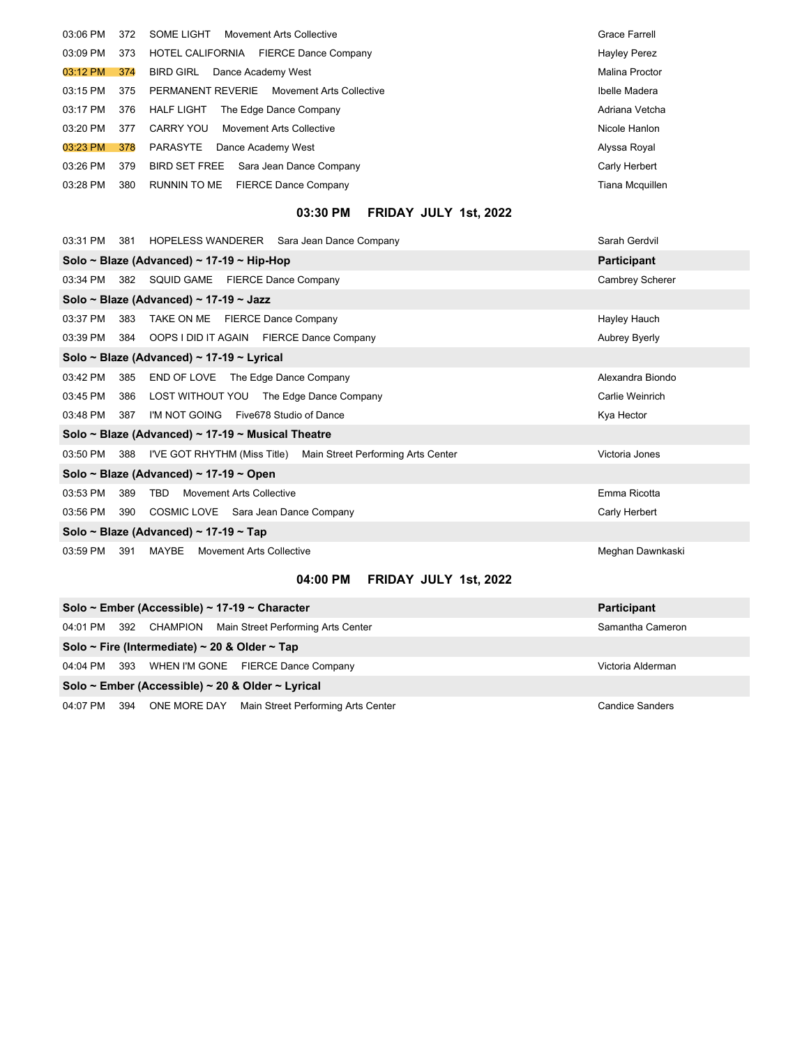| 03:06 PM   | 372 | SOME LIGHT<br>Movement Arts Collective               | Grace Farrell       |
|------------|-----|------------------------------------------------------|---------------------|
| 03:09 PM   | 373 | HOTEL CALIFORNIA<br><b>FIERCE Dance Company</b>      | <b>Hayley Perez</b> |
| 03:12 PM   | 374 | Dance Academy West<br><b>BIRD GIRL</b>               | Malina Proctor      |
| $03:15$ PM | 375 | PERMANENT REVERIE<br><b>Movement Arts Collective</b> | Ibelle Madera       |
| 03:17 PM   | 376 | The Edge Dance Company<br><b>HALF LIGHT</b>          | Adriana Vetcha      |
| 03:20 PM   | 377 | <b>CARRY YOU</b><br>Movement Arts Collective         | Nicole Hanlon       |
| 03:23 PM   | 378 | Dance Academy West<br>PARASYTE                       | Alyssa Royal        |
| 03:26 PM   | 379 | <b>BIRD SET FREE</b><br>Sara Jean Dance Company      | Carly Herbert       |
| 03:28 PM   | 380 | <b>FIERCE Dance Company</b><br>RUNNIN TO ME          | Tiana Mcquillen     |

### **03:30 PM FRIDAY JULY 1st, 2022**

| 03:31 PM                              |                                                   | 381 HOPELESS WANDERER Sara Jean Dance Company                   | Sarah Gerdvil      |  |  |
|---------------------------------------|---------------------------------------------------|-----------------------------------------------------------------|--------------------|--|--|
|                                       |                                                   | Solo ~ Blaze (Advanced) ~ 17-19 ~ Hip-Hop                       | <b>Participant</b> |  |  |
| 03:34 PM                              |                                                   | 382 SQUID GAME FIERCE Dance Company                             | Cambrey Scherer    |  |  |
|                                       |                                                   | Solo ~ Blaze (Advanced) ~ 17-19 ~ Jazz                          |                    |  |  |
| 03:37 PM                              | 383                                               | TAKE ON ME FIERCE Dance Company                                 | Hayley Hauch       |  |  |
| 03:39 PM                              | 384                                               | OOPS I DID IT AGAIN FIERCE Dance Company                        | Aubrey Byerly      |  |  |
|                                       |                                                   | Solo ~ Blaze (Advanced) ~ 17-19 ~ Lyrical                       |                    |  |  |
| 03:42 PM                              | 385                                               | END OF LOVE The Edge Dance Company                              | Alexandra Biondo   |  |  |
| 03:45 PM                              | 386                                               | LOST WITHOUT YOU The Edge Dance Company                         | Carlie Weinrich    |  |  |
| 03:48 PM                              | 387                                               | I'M NOT GOING Five678 Studio of Dance                           | Kya Hector         |  |  |
|                                       | Solo ~ Blaze (Advanced) ~ 17-19 ~ Musical Theatre |                                                                 |                    |  |  |
| 03:50 PM                              | 388                                               | I'VE GOT RHYTHM (Miss Title) Main Street Performing Arts Center | Victoria Jones     |  |  |
|                                       | Solo ~ Blaze (Advanced) ~ 17-19 ~ Open            |                                                                 |                    |  |  |
| 03:53 PM                              | 389                                               | TBD<br><b>Movement Arts Collective</b>                          | Emma Ricotta       |  |  |
| 03:56 PM                              | 390                                               | COSMIC LOVE Sara Jean Dance Company                             | Carly Herbert      |  |  |
| Solo ~ Blaze (Advanced) ~ 17-19 ~ Tap |                                                   |                                                                 |                    |  |  |
| 03:59 PM                              | 391                                               | MAYBE<br>Movement Arts Collective                               | Meghan Dawnkaski   |  |  |

### **04:00 PM FRIDAY JULY 1st, 2022**

| Solo ~ Ember (Accessible) ~ 17-19 ~ Character    |     | <b>Participant</b> |                                                          |                        |  |
|--------------------------------------------------|-----|--------------------|----------------------------------------------------------|------------------------|--|
|                                                  |     |                    | 04:01 PM 392 CHAMPION Main Street Performing Arts Center | Samantha Cameron       |  |
| Solo ~ Fire (Intermediate) ~ 20 & Older ~ Tap    |     |                    |                                                          |                        |  |
|                                                  |     |                    | 04:04 PM 393 WHEN I'M GONE FIERCE Dance Company          | Victoria Alderman      |  |
| Solo ~ Ember (Accessible) ~ 20 & Older ~ Lyrical |     |                    |                                                          |                        |  |
| 04:07 PM                                         | 394 |                    | ONE MORE DAY Main Street Performing Arts Center          | <b>Candice Sanders</b> |  |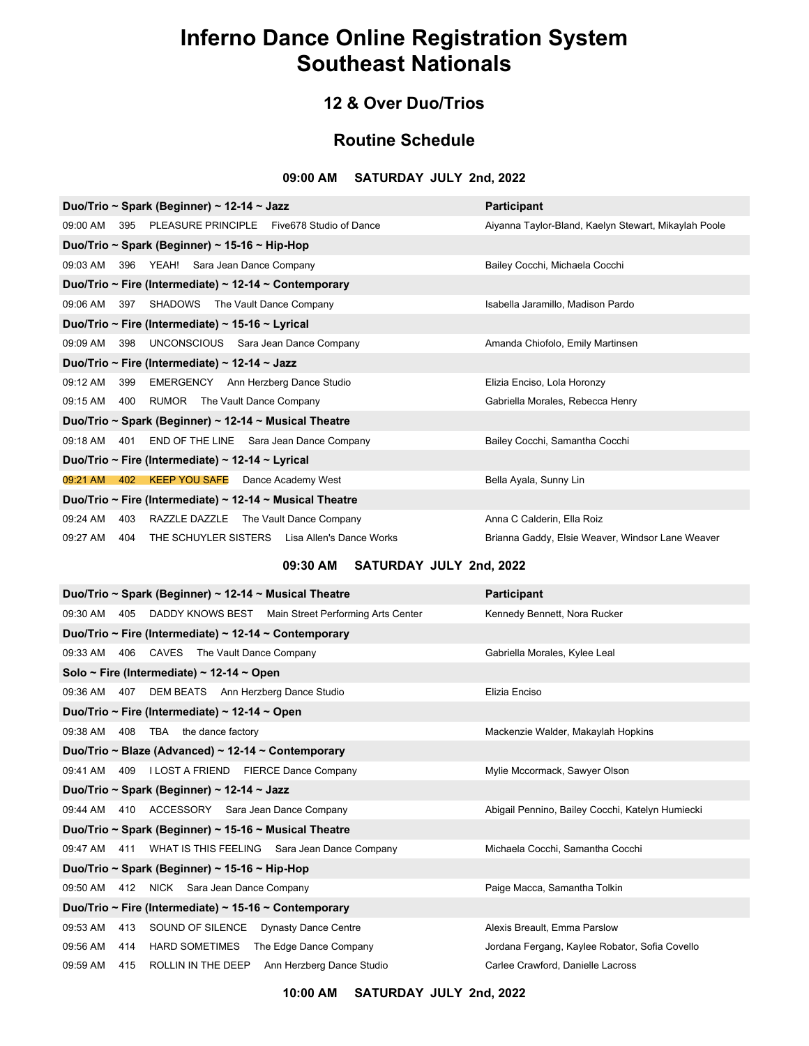### **12 & Over Duo/Trios**

### **Routine Schedule**

#### **09:00 AM SATURDAY JULY 2nd, 2022**

| Duo/Trio ~ Spark (Beginner) ~ 12-14 ~ Jazz                       | <b>Participant</b>                                   |
|------------------------------------------------------------------|------------------------------------------------------|
| 09:00 AM 395 PLEASURE PRINCIPLE Five678 Studio of Dance          | Aiyanna Taylor-Bland, Kaelyn Stewart, Mikaylah Poole |
| Duo/Trio ~ Spark (Beginner) ~ 15-16 ~ Hip-Hop                    |                                                      |
| 09:03 AM<br>396 YEAH! Sara Jean Dance Company                    | Bailey Cocchi, Michaela Cocchi                       |
| Duo/Trio ~ Fire (Intermediate) ~ 12-14 ~ Contemporary            |                                                      |
| 09:06 AM 397 SHADOWS The Vault Dance Company                     | Isabella Jaramillo, Madison Pardo                    |
| Duo/Trio ~ Fire (Intermediate) ~ 15-16 ~ Lyrical                 |                                                      |
| 09:09 AM 398 UNCONSCIOUS Sara Jean Dance Company                 | Amanda Chiofolo, Emily Martinsen                     |
| Duo/Trio ~ Fire (Intermediate) ~ 12-14 ~ Jazz                    |                                                      |
| EMERGENCY Ann Herzberg Dance Studio<br>09:12 AM<br>399           | Elizia Enciso, Lola Horonzy                          |
| 09:15 AM 400 RUMOR The Vault Dance Company                       | Gabriella Morales, Rebecca Henry                     |
| Duo/Trio ~ Spark (Beginner) ~ 12-14 ~ Musical Theatre            |                                                      |
| END OF THE LINE Sara Jean Dance Company<br>09:18 AM 401          | Bailey Cocchi, Samantha Cocchi                       |
| Duo/Trio ~ Fire (Intermediate) ~ 12-14 ~ Lyrical                 |                                                      |
| 402 KEEP YOU SAFE Dance Academy West<br>09:21 AM                 | Bella Ayala, Sunny Lin                               |
| Duo/Trio ~ Fire (Intermediate) ~ 12-14 ~ Musical Theatre         |                                                      |
| 09:24 AM<br>403 RAZZLE DAZZLE The Vault Dance Company            | Anna C Calderin, Ella Roiz                           |
| 09:27 AM<br>THE SCHUYLER SISTERS Lisa Allen's Dance Works<br>404 | Brianna Gaddy, Elsie Weaver, Windsor Lane Weaver     |

### **09:30 AM SATURDAY JULY 2nd, 2022**

| Duo/Trio ~ Spark (Beginner) ~ 12-14 ~ Musical Theatre            | <b>Participant</b>                               |  |  |  |
|------------------------------------------------------------------|--------------------------------------------------|--|--|--|
| 09:30 AM 405 DADDY KNOWS BEST Main Street Performing Arts Center | Kennedy Bennett, Nora Rucker                     |  |  |  |
| Duo/Trio ~ Fire (Intermediate) ~ 12-14 ~ Contemporary            |                                                  |  |  |  |
| 09:33 AM 406 CAVES The Vault Dance Company                       | Gabriella Morales, Kylee Leal                    |  |  |  |
| Solo ~ Fire (Intermediate) ~ 12-14 ~ Open                        |                                                  |  |  |  |
| 09:36 AM 407 DEM BEATS Ann Herzberg Dance Studio                 | Elizia Enciso                                    |  |  |  |
| Duo/Trio ~ Fire (Intermediate) ~ 12-14 ~ Open                    |                                                  |  |  |  |
| 09:38 AM 408 TBA the dance factory                               | Mackenzie Walder, Makaylah Hopkins               |  |  |  |
| Duo/Trio ~ Blaze (Advanced) ~ 12-14 ~ Contemporary               |                                                  |  |  |  |
| 09:41 AM 409 I LOST A FRIEND FIERCE Dance Company                | Mylie Mccormack, Sawyer Olson                    |  |  |  |
| Duo/Trio ~ Spark (Beginner) ~ 12-14 ~ Jazz                       |                                                  |  |  |  |
| 09:44 AM 410 ACCESSORY Sara Jean Dance Company                   | Abigail Pennino, Bailey Cocchi, Katelyn Humiecki |  |  |  |
| Duo/Trio ~ Spark (Beginner) ~ 15-16 ~ Musical Theatre            |                                                  |  |  |  |
| 09:47 AM 411 WHAT IS THIS FEELING Sara Jean Dance Company        | Michaela Cocchi, Samantha Cocchi                 |  |  |  |
| Duo/Trio ~ Spark (Beginner) ~ 15-16 ~ Hip-Hop                    |                                                  |  |  |  |
| 09:50 AM 412 NICK Sara Jean Dance Company                        | Paige Macca, Samantha Tolkin                     |  |  |  |
| Duo/Trio ~ Fire (Intermediate) ~ 15-16 ~ Contemporary            |                                                  |  |  |  |
| 09:53 AM 413 SOUND OF SILENCE Dynasty Dance Centre               | Alexis Breault, Emma Parslow                     |  |  |  |
| 09:56 AM 414 HARD SOMETIMES The Edge Dance Company               | Jordana Fergang, Kaylee Robator, Sofia Covello   |  |  |  |
| 09:59 AM<br>415 ROLLIN IN THE DEEP Ann Herzberg Dance Studio     | Carlee Crawford, Danielle Lacross                |  |  |  |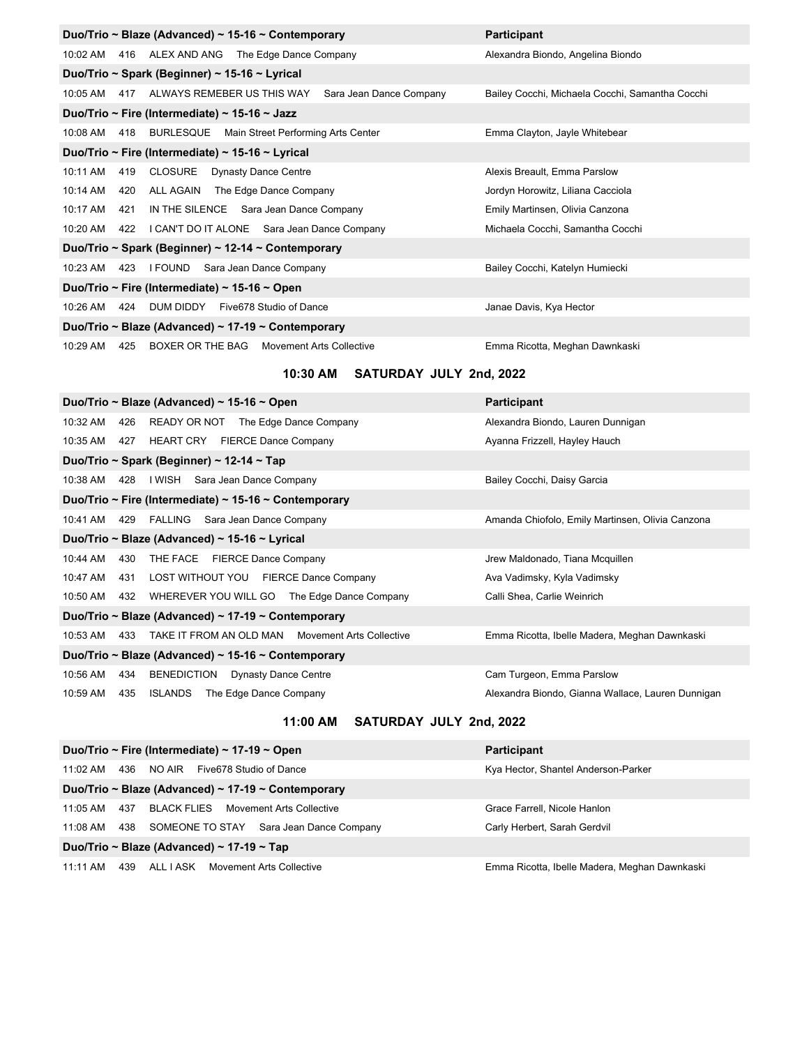|                                                    |                                                    | Duo/Trio ~ Blaze (Advanced) ~ 15-16 ~ Contemporary        | <b>Participant</b>                              |  |  |
|----------------------------------------------------|----------------------------------------------------|-----------------------------------------------------------|-------------------------------------------------|--|--|
|                                                    |                                                    | 10:02 AM 416 ALEX AND ANG The Edge Dance Company          | Alexandra Biondo, Angelina Biondo               |  |  |
|                                                    |                                                    | Duo/Trio ~ Spark (Beginner) ~ 15-16 ~ Lyrical             |                                                 |  |  |
| 10:05 AM 417                                       |                                                    | ALWAYS REMEBER US THIS WAY<br>Sara Jean Dance Company     | Bailey Cocchi, Michaela Cocchi, Samantha Cocchi |  |  |
|                                                    |                                                    | Duo/Trio ~ Fire (Intermediate) ~ 15-16 ~ Jazz             |                                                 |  |  |
|                                                    |                                                    | 10:08 AM 418 BURLESQUE Main Street Performing Arts Center | Emma Clayton, Jayle Whitebear                   |  |  |
|                                                    |                                                    | Duo/Trio ~ Fire (Intermediate) ~ 15-16 ~ Lyrical          |                                                 |  |  |
| 10:11 AM                                           | 419                                                | CLOSURE Dynasty Dance Centre                              | Alexis Breault, Emma Parslow                    |  |  |
| 10:14 AM                                           | 420                                                | ALL AGAIN The Edge Dance Company                          | Jordyn Horowitz, Liliana Cacciola               |  |  |
| 10:17 AM                                           | 421                                                | IN THE SILENCE Sara Jean Dance Company                    | Emily Martinsen, Olivia Canzona                 |  |  |
| 10:20 AM                                           |                                                    | 422 I CAN'T DO IT ALONE Sara Jean Dance Company           | Michaela Cocchi, Samantha Cocchi                |  |  |
| Duo/Trio ~ Spark (Beginner) ~ 12-14 ~ Contemporary |                                                    |                                                           |                                                 |  |  |
|                                                    |                                                    | 10:23 AM 423 I FOUND Sara Jean Dance Company              | Bailey Cocchi, Katelyn Humiecki                 |  |  |
| Duo/Trio ~ Fire (Intermediate) ~ 15-16 ~ Open      |                                                    |                                                           |                                                 |  |  |
| 10:26 AM 424                                       |                                                    | DUM DIDDY Five 678 Studio of Dance                        | Janae Davis, Kya Hector                         |  |  |
|                                                    | Duo/Trio ~ Blaze (Advanced) ~ 17-19 ~ Contemporary |                                                           |                                                 |  |  |
| $10:29$ AM                                         | 425                                                | BOXER OR THE BAG Movement Arts Collective                 | Emma Ricotta, Meghan Dawnkaski                  |  |  |

### **10:30 AM SATURDAY JULY 2nd, 2022**

| Duo/Trio ~ Blaze (Advanced) ~ 15-16 ~ Open                                    | <b>Participant</b>                                |  |  |  |  |
|-------------------------------------------------------------------------------|---------------------------------------------------|--|--|--|--|
| 10:32 AM<br>426<br>READY OR NOT The Edge Dance Company                        | Alexandra Biondo, Lauren Dunnigan                 |  |  |  |  |
| HEART CRY FIERCE Dance Company<br>10:35 AM<br>427                             | Ayanna Frizzell, Hayley Hauch                     |  |  |  |  |
| Duo/Trio ~ Spark (Beginner) ~ 12-14 ~ Tap                                     |                                                   |  |  |  |  |
| I WISH<br>Sara Jean Dance Company<br>10:38 AM<br>428                          | Bailey Cocchi, Daisy Garcia                       |  |  |  |  |
| Duo/Trio ~ Fire (Intermediate) ~ 15-16 ~ Contemporary                         |                                                   |  |  |  |  |
| 429 FALLING Sara Jean Dance Company<br>10:41 AM                               | Amanda Chiofolo, Emily Martinsen, Olivia Canzona  |  |  |  |  |
| Duo/Trio ~ Blaze (Advanced) ~ 15-16 ~ Lyrical                                 |                                                   |  |  |  |  |
| THE FACE FIERCE Dance Company<br>10:44 AM<br>430                              | Jrew Maldonado, Tiana Mcquillen                   |  |  |  |  |
| LOST WITHOUT YOU FIERCE Dance Company<br>10:47 AM<br>431                      | Ava Vadimsky, Kyla Vadimsky                       |  |  |  |  |
| WHEREVER YOU WILL GO The Edge Dance Company<br>10:50 AM<br>432                | Calli Shea, Carlie Weinrich                       |  |  |  |  |
| Duo/Trio ~ Blaze (Advanced) ~ 17-19 ~ Contemporary                            |                                                   |  |  |  |  |
| TAKE IT FROM AN OLD MAN<br>10:53 AM<br><b>Movement Arts Collective</b><br>433 | Emma Ricotta, Ibelle Madera, Meghan Dawnkaski     |  |  |  |  |
| Duo/Trio ~ Blaze (Advanced) ~ 15-16 ~ Contemporary                            |                                                   |  |  |  |  |
| BENEDICTION<br>10:56 AM<br><b>Dynasty Dance Centre</b><br>434                 | Cam Turgeon, Emma Parslow                         |  |  |  |  |
| <b>ISLANDS</b><br>10:59 AM<br>435<br>The Edge Dance Company                   | Alexandra Biondo, Gianna Wallace, Lauren Dunnigan |  |  |  |  |
|                                                                               |                                                   |  |  |  |  |

### **11:00 AM SATURDAY JULY 2nd, 2022**

|            |     | Duo/Trio ~ Fire (Intermediate) ~ 17-19 ~ Open      | <b>Participant</b>                            |
|------------|-----|----------------------------------------------------|-----------------------------------------------|
| 11:02 AM   | 436 | NO AIR<br>Five678 Studio of Dance                  | Kya Hector, Shantel Anderson-Parker           |
|            |     | Duo/Trio ~ Blaze (Advanced) ~ 17-19 ~ Contemporary |                                               |
| 11:05 AM   | 437 | BLACK FLIES<br>Movement Arts Collective            | Grace Farrell, Nicole Hanlon                  |
| 11:08 AM   | 438 | Sara Jean Dance Company<br>SOMEONE TO STAY         | Carly Herbert, Sarah Gerdvil                  |
|            |     | Duo/Trio ~ Blaze (Advanced) ~ 17-19 ~ Tap          |                                               |
| $11:11$ AM | 439 | ALL I ASK<br>Movement Arts Collective              | Emma Ricotta, Ibelle Madera, Meghan Dawnkaski |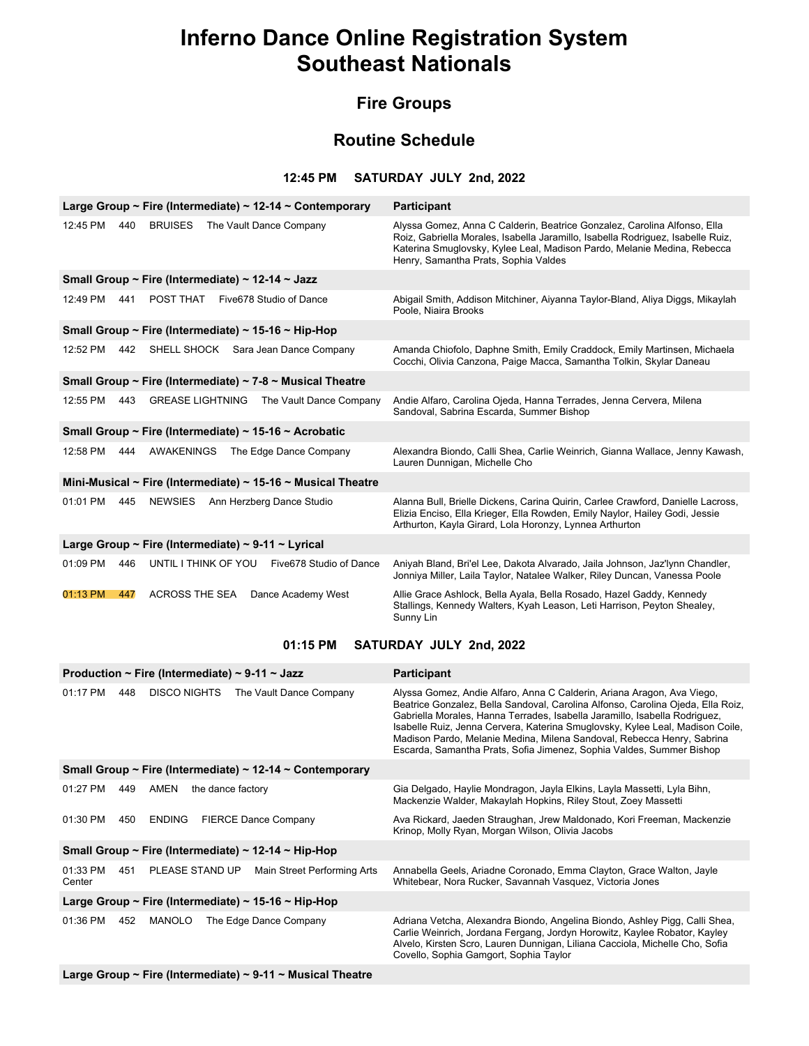### **Fire Groups**

### **Routine Schedule**

#### **12:45 PM SATURDAY JULY 2nd, 2022**

|                                                       |     |                                                  |  | Large Group ~ Fire (Intermediate) ~ $12-14$ ~ Contemporary   | <b>Participant</b>                                                                                                                                                                                                                                                             |
|-------------------------------------------------------|-----|--------------------------------------------------|--|--------------------------------------------------------------|--------------------------------------------------------------------------------------------------------------------------------------------------------------------------------------------------------------------------------------------------------------------------------|
| 12:45 PM                                              | 440 | <b>BRUISES</b>                                   |  | The Vault Dance Company                                      | Alyssa Gomez, Anna C Calderin, Beatrice Gonzalez, Carolina Alfonso, Ella<br>Roiz, Gabriella Morales, Isabella Jaramillo, Isabella Rodriguez, Isabelle Ruiz,<br>Katerina Smuglovsky, Kylee Leal, Madison Pardo, Melanie Medina, Rebecca<br>Henry, Samantha Prats, Sophia Valdes |
|                                                       |     | Small Group ~ Fire (Intermediate) ~ 12-14 ~ Jazz |  |                                                              |                                                                                                                                                                                                                                                                                |
| 12:49 PM                                              | 441 | POST THAT                                        |  | Five678 Studio of Dance                                      | Abigail Smith, Addison Mitchiner, Aiyanna Taylor-Bland, Aliya Diggs, Mikaylah<br>Poole, Niaira Brooks                                                                                                                                                                          |
|                                                       |     |                                                  |  | Small Group ~ Fire (Intermediate) ~ 15-16 ~ Hip-Hop          |                                                                                                                                                                                                                                                                                |
| 12:52 PM                                              | 442 |                                                  |  | SHELL SHOCK Sara Jean Dance Company                          | Amanda Chiofolo, Daphne Smith, Emily Craddock, Emily Martinsen, Michaela<br>Cocchi, Olivia Canzona, Paige Macca, Samantha Tolkin, Skylar Daneau                                                                                                                                |
|                                                       |     |                                                  |  | Small Group ~ Fire (Intermediate) ~ 7-8 ~ Musical Theatre    |                                                                                                                                                                                                                                                                                |
| 12:55 PM                                              | 443 | <b>GREASE LIGHTNING</b>                          |  | The Vault Dance Company                                      | Andie Alfaro, Carolina Ojeda, Hanna Terrades, Jenna Cervera, Milena<br>Sandoval, Sabrina Escarda, Summer Bishop                                                                                                                                                                |
| Small Group ~ Fire (Intermediate) ~ 15-16 ~ Acrobatic |     |                                                  |  |                                                              |                                                                                                                                                                                                                                                                                |
| 12:58 PM                                              | 444 | <b>AWAKENINGS</b>                                |  | The Edge Dance Company                                       | Alexandra Biondo, Calli Shea, Carlie Weinrich, Gianna Wallace, Jenny Kawash,<br>Lauren Dunnigan, Michelle Cho                                                                                                                                                                  |
|                                                       |     |                                                  |  | Mini-Musical ~ Fire (Intermediate) ~ 15-16 ~ Musical Theatre |                                                                                                                                                                                                                                                                                |
| 01:01 PM                                              | 445 | <b>NEWSIES</b>                                   |  | Ann Herzberg Dance Studio                                    | Alanna Bull, Brielle Dickens, Carina Quirin, Carlee Crawford, Danielle Lacross,<br>Elizia Enciso, Ella Krieger, Ella Rowden, Emily Naylor, Hailey Godi, Jessie<br>Arthurton, Kayla Girard, Lola Horonzy, Lynnea Arthurton                                                      |
| Large Group ~ Fire (Intermediate) ~ 9-11 ~ Lyrical    |     |                                                  |  |                                                              |                                                                                                                                                                                                                                                                                |
| 01:09 PM                                              | 446 | UNTIL I THINK OF YOU                             |  | Five678 Studio of Dance                                      | Aniyah Bland, Bri'el Lee, Dakota Alvarado, Jaila Johnson, Jaz'lynn Chandler,<br>Jonniya Miller, Laila Taylor, Natalee Walker, Riley Duncan, Vanessa Poole                                                                                                                      |
| 01:13 PM                                              | 447 | <b>ACROSS THE SEA</b>                            |  | Dance Academy West                                           | Allie Grace Ashlock, Bella Ayala, Bella Rosado, Hazel Gaddy, Kennedy<br>Stallings, Kennedy Walters, Kyah Leason, Leti Harrison, Peyton Shealey,<br>Sunny Lin                                                                                                                   |

#### **01:15 PM SATURDAY JULY 2nd, 2022**

|                                                     |     | Production ~ Fire (Intermediate) ~ 9-11 ~ Jazz |                   |                                                            | <b>Participant</b>                                                                                                                                                                                                                                                                                                                                                                                                                                                         |
|-----------------------------------------------------|-----|------------------------------------------------|-------------------|------------------------------------------------------------|----------------------------------------------------------------------------------------------------------------------------------------------------------------------------------------------------------------------------------------------------------------------------------------------------------------------------------------------------------------------------------------------------------------------------------------------------------------------------|
| 01:17 PM                                            | 448 | <b>DISCO NIGHTS</b>                            |                   | The Vault Dance Company                                    | Alyssa Gomez, Andie Alfaro, Anna C Calderin, Ariana Aragon, Ava Viego,<br>Beatrice Gonzalez, Bella Sandoval, Carolina Alfonso, Carolina Ojeda, Ella Roiz,<br>Gabriella Morales, Hanna Terrades, Isabella Jaramillo, Isabella Rodriguez,<br>Isabelle Ruiz, Jenna Cervera, Katerina Smuglovsky, Kylee Leal, Madison Coile,<br>Madison Pardo, Melanie Medina, Milena Sandoval, Rebecca Henry, Sabrina<br>Escarda, Samantha Prats, Sofia Jimenez, Sophia Valdes, Summer Bishop |
|                                                     |     |                                                |                   | Small Group ~ Fire (Intermediate) ~ $12-14$ ~ Contemporary |                                                                                                                                                                                                                                                                                                                                                                                                                                                                            |
| 01:27 PM                                            | 449 | AMEN                                           | the dance factory |                                                            | Gia Delgado, Haylie Mondragon, Jayla Elkins, Layla Massetti, Lyla Bihn,<br>Mackenzie Walder, Makaylah Hopkins, Riley Stout, Zoey Massetti                                                                                                                                                                                                                                                                                                                                  |
| 01:30 PM                                            | 450 | <b>ENDING</b>                                  |                   | <b>FIERCE Dance Company</b>                                | Ava Rickard, Jaeden Straughan, Jrew Maldonado, Kori Freeman, Mackenzie<br>Krinop, Molly Ryan, Morgan Wilson, Olivia Jacobs                                                                                                                                                                                                                                                                                                                                                 |
|                                                     |     |                                                |                   | Small Group ~ Fire (Intermediate) ~ 12-14 ~ Hip-Hop        |                                                                                                                                                                                                                                                                                                                                                                                                                                                                            |
| 01:33 PM<br>Center                                  | 451 | PLEASE STAND UP                                |                   | Main Street Performing Arts                                | Annabella Geels, Ariadne Coronado, Emma Clayton, Grace Walton, Jayle<br>Whitebear, Nora Rucker, Savannah Vasquez, Victoria Jones                                                                                                                                                                                                                                                                                                                                           |
| Large Group ~ Fire (Intermediate) ~ 15-16 ~ Hip-Hop |     |                                                |                   |                                                            |                                                                                                                                                                                                                                                                                                                                                                                                                                                                            |
| 01:36 PM                                            | 452 | MANOLO                                         |                   | The Edge Dance Company                                     | Adriana Vetcha, Alexandra Biondo, Angelina Biondo, Ashley Pigg, Calli Shea,<br>Carlie Weinrich, Jordana Fergang, Jordyn Horowitz, Kaylee Robator, Kayley<br>Alvelo, Kirsten Scro, Lauren Dunnigan, Liliana Cacciola, Michelle Cho, Sofia<br>Covello, Sophia Gamgort, Sophia Taylor                                                                                                                                                                                         |

**Large Group ~ Fire (Intermediate) ~ 9-11 ~ Musical Theatre**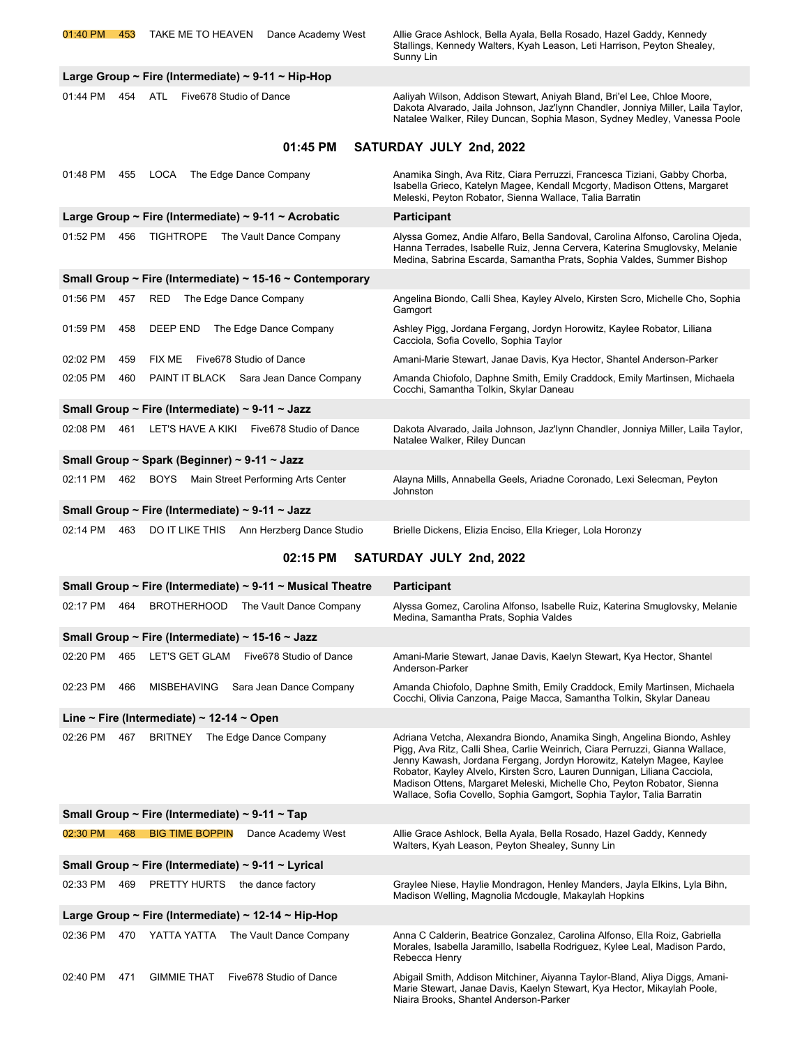**Large Group ~ Fire (Intermediate) ~ 9-11 ~ Hip-Hop**

01:44 PM 454 ATL Five678 Studio of Dance

01:40 PM 453 TAKE ME TO HEAVEN Dance Academy West Allie Grace Ashlock, Bella Ayala, Bella Rosado, Hazel Gaddy, Kennedy Stallings, Kennedy Walters, Kyah Leason, Leti Harrison, Peyton Shealey, Sunny Lin

| Aaliyah Wilson, Addison Stewart, Aniyah Bland, Bri'el Lee, Chloe Moore,          |
|----------------------------------------------------------------------------------|
| Dakota Alvarado, Jaila Johnson, Jaz'lynn Chandler, Jonniya Miller, Laila Taylor, |
| Natalee Walker, Riley Duncan, Sophia Mason, Sydney Medley, Vanessa Poole         |

#### **01:45 PM SATURDAY JULY 2nd, 2022**

| 01:48 PM | 455 | LOCA<br>The Edge Dance Company                           | Anamika Singh, Ava Ritz, Ciara Perruzzi, Francesca Tiziani, Gabby Chorba,<br>Isabella Grieco, Katelyn Magee, Kendall Mcgorty, Madison Ottens, Margaret<br>Meleski, Peyton Robator, Sienna Wallace, Talia Barratin                    |
|----------|-----|----------------------------------------------------------|--------------------------------------------------------------------------------------------------------------------------------------------------------------------------------------------------------------------------------------|
|          |     | Large Group ~ Fire (Intermediate) ~ 9-11 ~ Acrobatic     | <b>Participant</b>                                                                                                                                                                                                                   |
| 01:52 PM | 456 | <b>TIGHTROPE</b><br>The Vault Dance Company              | Alyssa Gomez, Andie Alfaro, Bella Sandoval, Carolina Alfonso, Carolina Ojeda,<br>Hanna Terrades, Isabelle Ruiz, Jenna Cervera, Katerina Smuglovsky, Melanie<br>Medina, Sabrina Escarda, Samantha Prats, Sophia Valdes, Summer Bishop |
|          |     | Small Group ~ Fire (Intermediate) ~ 15-16 ~ Contemporary |                                                                                                                                                                                                                                      |
| 01:56 PM | 457 | <b>RED</b><br>The Edge Dance Company                     | Angelina Biondo, Calli Shea, Kayley Alvelo, Kirsten Scro, Michelle Cho, Sophia<br>Gamgort                                                                                                                                            |
| 01:59 PM | 458 | <b>DEEP END</b><br>The Edge Dance Company                | Ashley Pigg, Jordana Fergang, Jordyn Horowitz, Kaylee Robator, Liliana<br>Cacciola, Sofia Covello, Sophia Taylor                                                                                                                     |
| 02:02 PM | 459 | <b>FIX ME</b><br>Five678 Studio of Dance                 | Amani-Marie Stewart, Janae Davis, Kya Hector, Shantel Anderson-Parker                                                                                                                                                                |
| 02:05 PM | 460 | PAINT IT BLACK Sara Jean Dance Company                   | Amanda Chiofolo, Daphne Smith, Emily Craddock, Emily Martinsen, Michaela<br>Cocchi, Samantha Tolkin, Skylar Daneau                                                                                                                   |
|          |     | Small Group ~ Fire (Intermediate) ~ 9-11 ~ Jazz          |                                                                                                                                                                                                                                      |
| 02:08 PM | 461 | LET'S HAVE A KIKI<br>Five678 Studio of Dance             | Dakota Alvarado, Jaila Johnson, Jaz'lynn Chandler, Jonniya Miller, Laila Taylor,<br>Natalee Walker, Riley Duncan                                                                                                                     |
|          |     | Small Group ~ Spark (Beginner) ~ 9-11 ~ Jazz             |                                                                                                                                                                                                                                      |
| 02:11 PM | 462 | <b>BOYS</b><br>Main Street Performing Arts Center        | Alayna Mills, Annabella Geels, Ariadne Coronado, Lexi Selecman, Peyton<br>Johnston                                                                                                                                                   |
|          |     | Small Group ~ Fire (Intermediate) ~ 9-11 ~ Jazz          |                                                                                                                                                                                                                                      |
| 02:14 PM | 463 | <b>DO IT LIKE THIS</b><br>Ann Herzberg Dance Studio      | Brielle Dickens, Elizia Enciso, Ella Krieger, Lola Horonzy                                                                                                                                                                           |

## **02:15 PM SATURDAY JULY 2nd, 2022**

|                                                |                                                       | Small Group ~ Fire (Intermediate) ~ $9-11$ ~ Musical Theatre | <b>Participant</b>                                                                                                                                                                                                                                                                                                                                                                                                                                               |  |  |
|------------------------------------------------|-------------------------------------------------------|--------------------------------------------------------------|------------------------------------------------------------------------------------------------------------------------------------------------------------------------------------------------------------------------------------------------------------------------------------------------------------------------------------------------------------------------------------------------------------------------------------------------------------------|--|--|
| 02:17 PM                                       | 464                                                   | <b>BROTHERHOOD</b><br>The Vault Dance Company                | Alyssa Gomez, Carolina Alfonso, Isabelle Ruiz, Katerina Smuglovsky, Melanie<br>Medina, Samantha Prats, Sophia Valdes                                                                                                                                                                                                                                                                                                                                             |  |  |
|                                                |                                                       | Small Group ~ Fire (Intermediate) ~ 15-16 ~ Jazz             |                                                                                                                                                                                                                                                                                                                                                                                                                                                                  |  |  |
| 02:20 PM                                       | 465                                                   | LET'S GET GLAM<br>Five678 Studio of Dance                    | Amani-Marie Stewart, Janae Davis, Kaelyn Stewart, Kya Hector, Shantel<br>Anderson-Parker                                                                                                                                                                                                                                                                                                                                                                         |  |  |
| 02:23 PM                                       | 466                                                   | Sara Jean Dance Company<br><b>MISBEHAVING</b>                | Amanda Chiofolo, Daphne Smith, Emily Craddock, Emily Martinsen, Michaela<br>Cocchi, Olivia Canzona, Paige Macca, Samantha Tolkin, Skylar Daneau                                                                                                                                                                                                                                                                                                                  |  |  |
|                                                |                                                       | Line ~ Fire (Intermediate) ~ 12-14 ~ Open                    |                                                                                                                                                                                                                                                                                                                                                                                                                                                                  |  |  |
| 02:26 PM                                       | 467                                                   | <b>BRITNEY</b><br>The Edge Dance Company                     | Adriana Vetcha, Alexandra Biondo, Anamika Singh, Angelina Biondo, Ashley<br>Pigg, Ava Ritz, Calli Shea, Carlie Weinrich, Ciara Perruzzi, Gianna Wallace,<br>Jenny Kawash, Jordana Fergang, Jordyn Horowitz, Katelyn Magee, Kaylee<br>Robator, Kayley Alvelo, Kirsten Scro, Lauren Dunnigan, Liliana Cacciola,<br>Madison Ottens, Margaret Meleski, Michelle Cho, Peyton Robator, Sienna<br>Wallace, Sofia Covello, Sophia Gamgort, Sophia Taylor, Talia Barratin |  |  |
| Small Group ~ Fire (Intermediate) ~ 9-11 ~ Tap |                                                       |                                                              |                                                                                                                                                                                                                                                                                                                                                                                                                                                                  |  |  |
| 02:30 PM                                       | 468                                                   | <b>BIG TIME BOPPIN</b><br>Dance Academy West                 | Allie Grace Ashlock, Bella Ayala, Bella Rosado, Hazel Gaddy, Kennedy<br>Walters, Kyah Leason, Peyton Shealey, Sunny Lin                                                                                                                                                                                                                                                                                                                                          |  |  |
|                                                |                                                       | Small Group ~ Fire (Intermediate) ~ 9-11 ~ Lyrical           |                                                                                                                                                                                                                                                                                                                                                                                                                                                                  |  |  |
| 02:33 PM                                       | 469                                                   | PRETTY HURTS<br>the dance factory                            | Graylee Niese, Haylie Mondragon, Henley Manders, Jayla Elkins, Lyla Bihn,<br>Madison Welling, Magnolia Mcdougle, Makaylah Hopkins                                                                                                                                                                                                                                                                                                                                |  |  |
|                                                | Large Group ~ Fire (Intermediate) ~ $12-14$ ~ Hip-Hop |                                                              |                                                                                                                                                                                                                                                                                                                                                                                                                                                                  |  |  |
| 02:36 PM                                       | 470                                                   | YATTA YATTA<br>The Vault Dance Company                       | Anna C Calderin, Beatrice Gonzalez, Carolina Alfonso, Ella Roiz, Gabriella<br>Morales, Isabella Jaramillo, Isabella Rodriguez, Kylee Leal, Madison Pardo,<br>Rebecca Henry                                                                                                                                                                                                                                                                                       |  |  |
| 02:40 PM                                       | 471                                                   | <b>GIMMIE THAT</b><br>Five678 Studio of Dance                | Abigail Smith, Addison Mitchiner, Aiyanna Taylor-Bland, Aliya Diggs, Amani-<br>Marie Stewart, Janae Davis, Kaelyn Stewart, Kya Hector, Mikaylah Poole,<br>Niaira Brooks, Shantel Anderson-Parker                                                                                                                                                                                                                                                                 |  |  |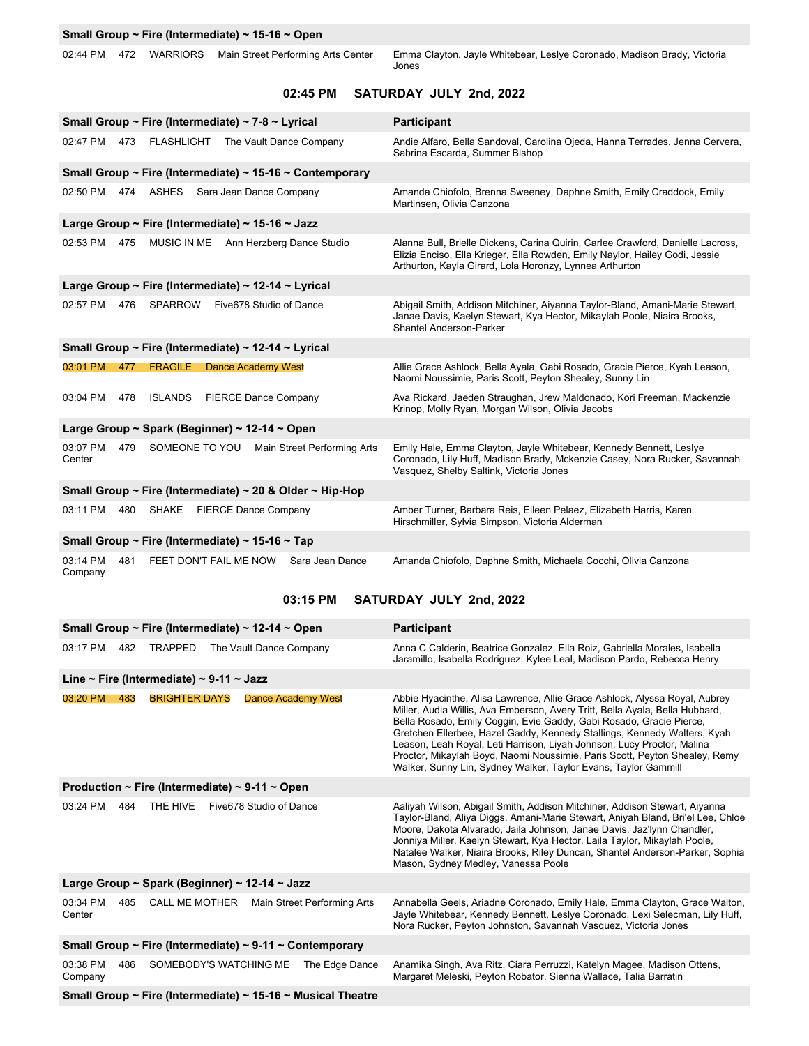|  |  |  | Small Group ~ Fire (Intermediate) ~ 15-16 ~ Open |
|--|--|--|--------------------------------------------------|
|--|--|--|--------------------------------------------------|

02:44 PM 472 WARRIORS Main Street Performing Arts Center Emma Clayton, Jayle Whitebear, Leslye Coronado, Madison Brady, Victoria Jones

### **02:45 PM SATURDAY JULY 2nd, 2022**

|                                                 |                                     | Small Group ~ Fire (Intermediate) ~ 7-8 ~ Lyrical   |                             |                                                          | Participant                                                                                                                                                                                                               |  |
|-------------------------------------------------|-------------------------------------|-----------------------------------------------------|-----------------------------|----------------------------------------------------------|---------------------------------------------------------------------------------------------------------------------------------------------------------------------------------------------------------------------------|--|
| 02:47 PM                                        | 473                                 | <b>FLASHLIGHT</b>                                   |                             | The Vault Dance Company                                  | Andie Alfaro, Bella Sandoval, Carolina Ojeda, Hanna Terrades, Jenna Cervera,<br>Sabrina Escarda, Summer Bishop                                                                                                            |  |
|                                                 |                                     |                                                     |                             | Small Group ~ Fire (Intermediate) ~ 15-16 ~ Contemporary |                                                                                                                                                                                                                           |  |
| 02:50 PM                                        |                                     | 474 ASHES                                           | Sara Jean Dance Company     |                                                          | Amanda Chiofolo, Brenna Sweeney, Daphne Smith, Emily Craddock, Emily<br>Martinsen, Olivia Canzona                                                                                                                         |  |
|                                                 |                                     | Large Group ~ Fire (Intermediate) ~ 15-16 ~ Jazz    |                             |                                                          |                                                                                                                                                                                                                           |  |
| 02:53 PM                                        | 475                                 |                                                     |                             | MUSIC IN ME Ann Herzberg Dance Studio                    | Alanna Bull, Brielle Dickens, Carina Quirin, Carlee Crawford, Danielle Lacross,<br>Elizia Enciso, Ella Krieger, Ella Rowden, Emily Naylor, Hailey Godi, Jessie<br>Arthurton, Kayla Girard, Lola Horonzy, Lynnea Arthurton |  |
|                                                 |                                     | Large Group ~ Fire (Intermediate) ~ 12-14 ~ Lyrical |                             |                                                          |                                                                                                                                                                                                                           |  |
| 02:57 PM                                        | 476                                 | SPARROW                                             | Five678 Studio of Dance     |                                                          | Abigail Smith, Addison Mitchiner, Aiyanna Taylor-Bland, Amani-Marie Stewart,<br>Janae Davis, Kaelyn Stewart, Kya Hector, Mikaylah Poole, Niaira Brooks,<br>Shantel Anderson-Parker                                        |  |
|                                                 |                                     | Small Group ~ Fire (Intermediate) ~ 12-14 ~ Lyrical |                             |                                                          |                                                                                                                                                                                                                           |  |
| 03:01 PM                                        | 477                                 | <b>FRAGILE</b>                                      | <b>Dance Academy West</b>   |                                                          | Allie Grace Ashlock, Bella Ayala, Gabi Rosado, Gracie Pierce, Kyah Leason,<br>Naomi Noussimie, Paris Scott, Peyton Shealey, Sunny Lin                                                                                     |  |
| 03:04 PM                                        | 478                                 | <b>ISLANDS</b>                                      | <b>FIERCE Dance Company</b> |                                                          | Ava Rickard, Jaeden Straughan, Jrew Maldonado, Kori Freeman, Mackenzie<br>Krinop, Molly Ryan, Morgan Wilson, Olivia Jacobs                                                                                                |  |
| Large Group ~ Spark (Beginner) ~ 12-14 ~ Open   |                                     |                                                     |                             |                                                          |                                                                                                                                                                                                                           |  |
| 03:07 PM<br>Center                              | 479                                 |                                                     |                             | SOMEONE TO YOU Main Street Performing Arts               | Emily Hale, Emma Clayton, Jayle Whitebear, Kennedy Bennett, Leslye<br>Coronado, Lily Huff, Madison Brady, Mckenzie Casey, Nora Rucker, Savannah<br>Vasquez, Shelby Saltink, Victoria Jones                                |  |
|                                                 |                                     |                                                     |                             | Small Group ~ Fire (Intermediate) ~ 20 & Older ~ Hip-Hop |                                                                                                                                                                                                                           |  |
| 03:11 PM                                        | 480                                 | SHAKE                                               | <b>FIERCE Dance Company</b> |                                                          | Amber Turner, Barbara Reis, Eileen Pelaez, Elizabeth Harris, Karen<br>Hirschmiller, Sylvia Simpson, Victoria Alderman                                                                                                     |  |
| Small Group ~ Fire (Intermediate) ~ 15-16 ~ Tap |                                     |                                                     |                             |                                                          |                                                                                                                                                                                                                           |  |
| 03:14 PM<br>Company                             | 481                                 |                                                     |                             | FEET DON'T FAIL ME NOW Sara Jean Dance                   | Amanda Chiofolo, Daphne Smith, Michaela Cocchi, Olivia Canzona                                                                                                                                                            |  |
|                                                 | 03:15 PM<br>SATURDAY JULY 2nd, 2022 |                                                     |                             |                                                          |                                                                                                                                                                                                                           |  |
|                                                 |                                     | Small Group ~ Fire (Intermediate) ~ 12-14 ~ Open    |                             |                                                          | Participant                                                                                                                                                                                                               |  |
|                                                 |                                     | 00:47 DM 400 TDADDED The Veult Dense Cam            |                             |                                                          | Anno C. Coldesia, Deptries Convoler<br>File Dair<br>Cabriella Maralaa, laaballa                                                                                                                                           |  |

| 03:17 PM                                                      | 482 | <b>TRAPPED</b><br>The Vault Dance Company     |                           |                | Anna C Calderin, Beatrice Gonzalez, Ella Roiz, Gabriella Morales, Isabella<br>Jaramillo, Isabella Rodriguez, Kylee Leal, Madison Pardo, Rebecca Henry                                                                                                                                                                                                                                                                                                                                                                                   |  |  |  |
|---------------------------------------------------------------|-----|-----------------------------------------------|---------------------------|----------------|-----------------------------------------------------------------------------------------------------------------------------------------------------------------------------------------------------------------------------------------------------------------------------------------------------------------------------------------------------------------------------------------------------------------------------------------------------------------------------------------------------------------------------------------|--|--|--|
| Line ~ Fire (Intermediate) ~ 9-11 ~ Jazz                      |     |                                               |                           |                |                                                                                                                                                                                                                                                                                                                                                                                                                                                                                                                                         |  |  |  |
| 03:20 PM                                                      | 483 | <b>BRIGHTER DAYS</b>                          | <b>Dance Academy West</b> |                | Abbie Hyacinthe, Alisa Lawrence, Allie Grace Ashlock, Alyssa Royal, Aubrey<br>Miller, Audia Willis, Ava Emberson, Avery Tritt, Bella Ayala, Bella Hubbard,<br>Bella Rosado, Emily Coggin, Evie Gaddy, Gabi Rosado, Gracie Pierce,<br>Gretchen Ellerbee, Hazel Gaddy, Kennedy Stallings, Kennedy Walters, Kyah<br>Leason, Leah Royal, Leti Harrison, Liyah Johnson, Lucy Proctor, Malina<br>Proctor, Mikaylah Boyd, Naomi Noussimie, Paris Scott, Peyton Shealey, Remy<br>Walker, Sunny Lin, Sydney Walker, Taylor Evans, Taylor Gammill |  |  |  |
| Production ~ Fire (Intermediate) ~ 9-11 ~ Open                |     |                                               |                           |                |                                                                                                                                                                                                                                                                                                                                                                                                                                                                                                                                         |  |  |  |
| 03:24 PM                                                      | 484 | THE HIVE                                      | Five678 Studio of Dance   |                | Aaliyah Wilson, Abigail Smith, Addison Mitchiner, Addison Stewart, Aiyanna<br>Taylor-Bland, Aliya Diggs, Amani-Marie Stewart, Aniyah Bland, Bri'el Lee, Chloe<br>Moore, Dakota Alvarado, Jaila Johnson, Janae Davis, Jaz'lynn Chandler,<br>Jonniya Miller, Kaelyn Stewart, Kya Hector, Laila Taylor, Mikaylah Poole,<br>Natalee Walker, Niaira Brooks, Riley Duncan, Shantel Anderson-Parker, Sophia<br>Mason, Sydney Medley, Vanessa Poole                                                                                             |  |  |  |
| Large Group ~ Spark (Beginner) ~ 12-14 ~ Jazz                 |     |                                               |                           |                |                                                                                                                                                                                                                                                                                                                                                                                                                                                                                                                                         |  |  |  |
| 03:34 PM<br>Center                                            | 485 | Main Street Performing Arts<br>CALL ME MOTHER |                           |                | Annabella Geels, Ariadne Coronado, Emily Hale, Emma Clayton, Grace Walton,<br>Jayle Whitebear, Kennedy Bennett, Leslye Coronado, Lexi Selecman, Lily Huff,<br>Nora Rucker, Peyton Johnston, Savannah Vasquez, Victoria Jones                                                                                                                                                                                                                                                                                                            |  |  |  |
| Small Group ~ Fire (Intermediate) ~ 9-11 ~ Contemporary       |     |                                               |                           |                |                                                                                                                                                                                                                                                                                                                                                                                                                                                                                                                                         |  |  |  |
| 03:38 PM<br>Company                                           | 486 | SOMEBODY'S WATCHING ME                        |                           | The Edge Dance | Anamika Singh, Ava Ritz, Ciara Perruzzi, Katelyn Magee, Madison Ottens,<br>Margaret Meleski, Peyton Robator, Sienna Wallace, Talia Barratin                                                                                                                                                                                                                                                                                                                                                                                             |  |  |  |
| Small Group ~ Fire (Intermediate) ~ $15-16$ ~ Musical Theatre |     |                                               |                           |                |                                                                                                                                                                                                                                                                                                                                                                                                                                                                                                                                         |  |  |  |